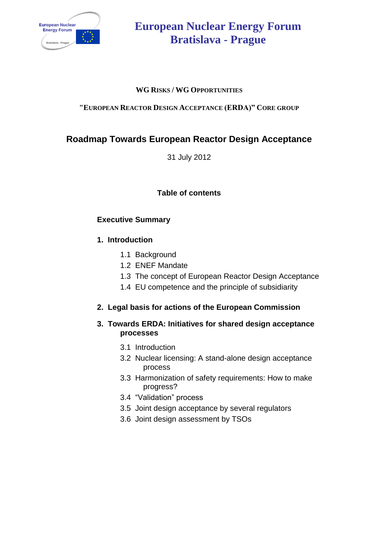

# **European Nuclear Energy Forum Bratislava - Prague**

#### **WG RISKS / WG OPPORTUNITIES**

#### **"EUROPEAN REACTOR DESIGN ACCEPTANCE (ERDA)" CORE GROUP**

# **Roadmap Towards European Reactor Design Acceptance**

31 July 2012

#### **Table of contents**

#### **Executive Summary**

#### **1. Introduction**

- 1.1 Background
- 1.2 ENEF Mandate
- 1.3 The concept of European Reactor Design Acceptance
- 1.4 EU competence and the principle of subsidiarity

#### **2. Legal basis for actions of the European Commission**

#### **3. Towards ERDA: Initiatives for shared design acceptance processes**

- 3.1 Introduction
- 3.2 Nuclear licensing: A stand-alone design acceptance process
- 3.3 Harmonization of safety requirements: How to make progress?
- 3.4 "Validation" process
- 3.5 Joint design acceptance by several regulators
- 3.6 Joint design assessment by TSOs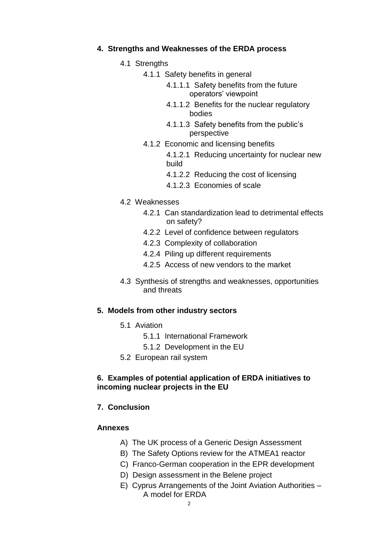#### **4. Strengths and Weaknesses of the ERDA process**

- 4.1 Strengths
	- 4.1.1 Safety benefits in general
		- 4.1.1.1 Safety benefits from the future operators' viewpoint
		- 4.1.1.2 Benefits for the nuclear regulatory bodies
		- 4.1.1.3 Safety benefits from the public's perspective
	- 4.1.2 Economic and licensing benefits
		- 4.1.2.1 Reducing uncertainty for nuclear new build
		- 4.1.2.2 Reducing the cost of licensing
		- 4.1.2.3 Economies of scale
- 4.2 Weaknesses
	- 4.2.1 Can standardization lead to detrimental effects on safety?
	- 4.2.2 Level of confidence between regulators
	- 4.2.3 Complexity of collaboration
	- 4.2.4 Piling up different requirements
	- 4.2.5 Access of new vendors to the market
- 4.3 Synthesis of strengths and weaknesses, opportunities and threats

#### **5. Models from other industry sectors**

- 5.1 Aviation
	- 5.1.1 International Framework
	- 5.1.2 Development in the EU
- 5.2 European rail system

#### **6. Examples of potential application of ERDA initiatives to incoming nuclear projects in the EU**

#### **7. Conclusion**

#### **Annexes**

- A) The UK process of a Generic Design Assessment
- B) The Safety Options review for the ATMEA1 reactor
- C) Franco-German cooperation in the EPR development
- D) Design assessment in the Belene project
- E) Cyprus Arrangements of the Joint Aviation Authorities A model for ERDA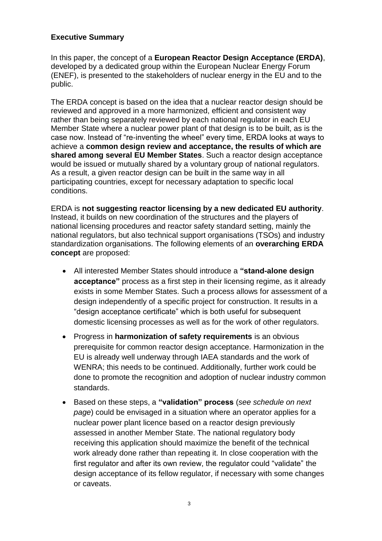#### **Executive Summary**

In this paper, the concept of a **European Reactor Design Acceptance (ERDA)**, developed by a dedicated group within the European Nuclear Energy Forum (ENEF), is presented to the stakeholders of nuclear energy in the EU and to the public.

The ERDA concept is based on the idea that a nuclear reactor design should be reviewed and approved in a more harmonized, efficient and consistent way rather than being separately reviewed by each national regulator in each EU Member State where a nuclear power plant of that design is to be built, as is the case now. Instead of "re-inventing the wheel" every time, ERDA looks at ways to achieve a **common design review and acceptance, the results of which are shared among several EU Member States**. Such a reactor design acceptance would be issued or mutually shared by a voluntary group of national regulators. As a result, a given reactor design can be built in the same way in all participating countries, except for necessary adaptation to specific local conditions.

ERDA is **not suggesting reactor licensing by a new dedicated EU authority**. Instead, it builds on new coordination of the structures and the players of national licensing procedures and reactor safety standard setting, mainly the national regulators, but also technical support organisations (TSOs) and industry standardization organisations. The following elements of an **overarching ERDA concept** are proposed:

- All interested Member States should introduce a **"stand-alone design acceptance"** process as a first step in their licensing regime, as it already exists in some Member States. Such a process allows for assessment of a design independently of a specific project for construction. It results in a "design acceptance certificate" which is both useful for subsequent domestic licensing processes as well as for the work of other regulators.
- Progress in **harmonization of safety requirements** is an obvious prerequisite for common reactor design acceptance. Harmonization in the EU is already well underway through IAEA standards and the work of WENRA; this needs to be continued. Additionally, further work could be done to promote the recognition and adoption of nuclear industry common standards.
- Based on these steps, a **"validation" process** (*see schedule on next page*) could be envisaged in a situation where an operator applies for a nuclear power plant licence based on a reactor design previously assessed in another Member State. The national regulatory body receiving this application should maximize the benefit of the technical work already done rather than repeating it. In close cooperation with the first regulator and after its own review, the regulator could "validate" the design acceptance of its fellow regulator, if necessary with some changes or caveats.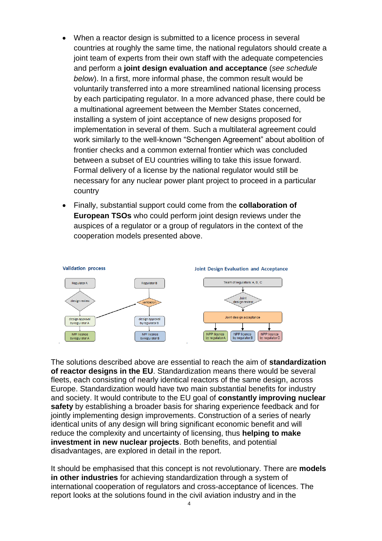- When a reactor design is submitted to a licence process in several countries at roughly the same time, the national regulators should create a joint team of experts from their own staff with the adequate competencies and perform a **joint design evaluation and acceptance** (*see schedule below*). In a first, more informal phase, the common result would be voluntarily transferred into a more streamlined national licensing process by each participating regulator. In a more advanced phase, there could be a multinational agreement between the Member States concerned, installing a system of joint acceptance of new designs proposed for implementation in several of them. Such a multilateral agreement could work similarly to the well-known "Schengen Agreement" about abolition of frontier checks and a common external frontier which was concluded between a subset of EU countries willing to take this issue forward. Formal delivery of a license by the national regulator would still be necessary for any nuclear power plant project to proceed in a particular country
- Finally, substantial support could come from the **collaboration of European TSOs** who could perform joint design reviews under the auspices of a regulator or a group of regulators in the context of the cooperation models presented above.



The solutions described above are essential to reach the aim of **standardization of reactor designs in the EU**. Standardization means there would be several fleets, each consisting of nearly identical reactors of the same design, across Europe. Standardization would have two main substantial benefits for industry and society. It would contribute to the EU goal of **constantly improving nuclear safety** by establishing a broader basis for sharing experience feedback and for jointly implementing design improvements. Construction of a series of nearly identical units of any design will bring significant economic benefit and will reduce the complexity and uncertainty of licensing, thus **helping to make investment in new nuclear projects**. Both benefits, and potential disadvantages, are explored in detail in the report.

It should be emphasised that this concept is not revolutionary. There are **models in other industries** for achieving standardization through a system of international cooperation of regulators and cross-acceptance of licences. The report looks at the solutions found in the civil aviation industry and in the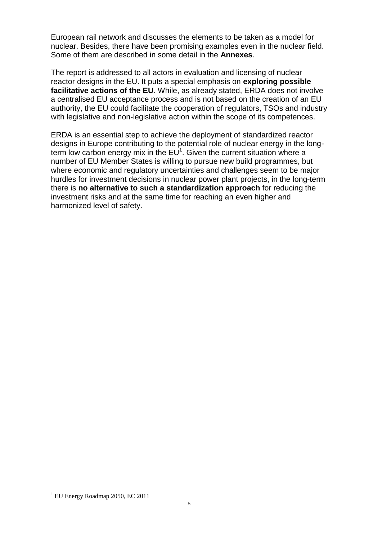European rail network and discusses the elements to be taken as a model for nuclear. Besides, there have been promising examples even in the nuclear field. Some of them are described in some detail in the **Annexes**.

The report is addressed to all actors in evaluation and licensing of nuclear reactor designs in the EU. It puts a special emphasis on **exploring possible facilitative actions of the EU**. While, as already stated, ERDA does not involve a centralised EU acceptance process and is not based on the creation of an EU authority, the EU could facilitate the cooperation of regulators, TSOs and industry with legislative and non-legislative action within the scope of its competences.

ERDA is an essential step to achieve the deployment of standardized reactor designs in Europe contributing to the potential role of nuclear energy in the longterm low carbon energy mix in the  $EU^1$ . Given the current situation where a number of EU Member States is willing to pursue new build programmes, but where economic and regulatory uncertainties and challenges seem to be major hurdles for investment decisions in nuclear power plant projects, in the long-term there is **no alternative to such a standardization approach** for reducing the investment risks and at the same time for reaching an even higher and harmonized level of safety.

 $\overline{a}$ 

 $1$  EU Energy Roadmap 2050, EC 2011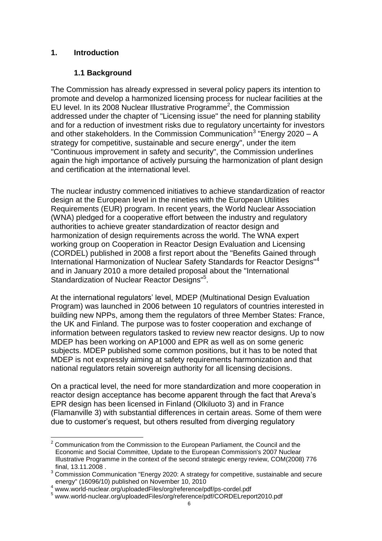#### **1. Introduction**

## **1.1 Background**

The Commission has already expressed in several policy papers its intention to promote and develop a harmonized licensing process for nuclear facilities at the  $E$ U level. In its 2008 Nuclear Illustrative Programme<sup>2</sup>, the Commission addressed under the chapter of "Licensing issue" the need for planning stability and for a reduction of investment risks due to regulatory uncertainty for investors and other stakeholders. In the Commission Communication<sup>3</sup> "Energy 2020 - A strategy for competitive, sustainable and secure energy", under the item "Continuous improvement in safety and security", the Commission underlines again the high importance of actively pursuing the harmonization of plant design and certification at the international level.

The nuclear industry commenced initiatives to achieve standardization of reactor design at the European level in the nineties with the European Utilities Requirements (EUR) program. In recent years, the World Nuclear Association (WNA) pledged for a cooperative effort between the industry and regulatory authorities to achieve greater standardization of reactor design and harmonization of design requirements across the world. The WNA expert working group on Cooperation in Reactor Design Evaluation and Licensing (CORDEL) published in 2008 a first report about the "Benefits Gained through International Harmonization of Nuclear Safety Standards for Reactor Designs"<sup>4</sup> and in January 2010 a more detailed proposal about the "International Standardization of Nuclear Reactor Designs"<sup>5</sup>.

At the international regulators' level, MDEP (Multinational Design Evaluation Program) was launched in 2006 between 10 regulators of countries interested in building new NPPs, among them the regulators of three Member States: France, the UK and Finland. The purpose was to foster cooperation and exchange of information between regulators tasked to review new reactor designs. Up to now MDEP has been working on AP1000 and EPR as well as on some generic subjects. MDEP published some common positions, but it has to be noted that MDEP is not expressly aiming at safety requirements harmonization and that national regulators retain sovereign authority for all licensing decisions.

On a practical level, the need for more standardization and more cooperation in reactor design acceptance has become apparent through the fact that Areva's EPR design has been licensed in Finland (Olkiluoto 3) and in France (Flamanville 3) with substantial differences in certain areas. Some of them were due to customer's request, but others resulted from diverging regulatory

 $\overline{a}$ 

 $2$  Communication from the Commission to the European Parliament, the Council and the Economic and Social Committee, Update to the European Commission's 2007 Nuclear Illustrative Programme in the context of the second strategic energy review, COM(2008) 776 final, 13.11.2008 .

<sup>&</sup>lt;sup>3</sup> Commission Communication "Energy 2020: A strategy for competitive, sustainable and secure energy" (16096/10) published on November 10, 2010

<sup>4</sup> www.world-nuclear.org/uploadedFiles/org/reference/pdf/ps-cordel.pdf

<sup>5</sup> www.world-nuclear.org/uploadedFiles/org/reference/pdf/CORDELreport2010.pdf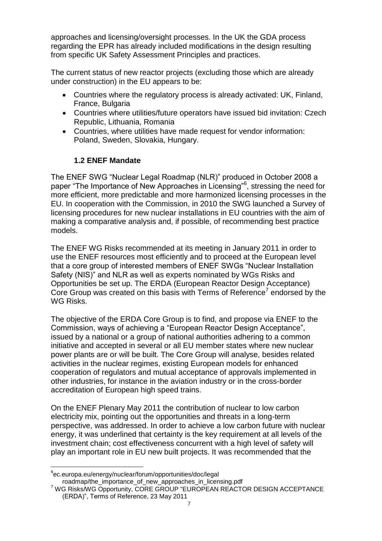approaches and licensing/oversight processes. In the UK the GDA process regarding the EPR has already included modifications in the design resulting from specific UK Safety Assessment Principles and practices.

The current status of new reactor projects (excluding those which are already under construction) in the EU appears to be:

- Countries where the regulatory process is already activated: UK, Finland, France, Bulgaria
- Countries where utilities/future operators have issued bid invitation: Czech Republic, Lithuania, Romania
- Countries, where utilities have made request for vendor information: Poland, Sweden, Slovakia, Hungary.

## **1.2 ENEF Mandate**

The ENEF SWG "Nuclear Legal Roadmap (NLR)" produced in October 2008 a paper "The Importance of New Approaches in Licensing"<sup>6</sup>, stressing the need for more efficient, more predictable and more harmonized licensing processes in the EU. In cooperation with the Commission, in 2010 the SWG launched a Survey of licensing procedures for new nuclear installations in EU countries with the aim of making a comparative analysis and, if possible, of recommending best practice models.

The ENEF WG Risks recommended at its meeting in January 2011 in order to use the ENEF resources most efficiently and to proceed at the European level that a core group of interested members of ENEF SWGs "Nuclear Installation Safety (NIS)" and NLR as well as experts nominated by WGs Risks and Opportunities be set up. The ERDA (European Reactor Design Acceptance) Core Group was created on this basis with Terms of Reference<sup>7</sup> endorsed by the WG Risks.

The objective of the ERDA Core Group is to find, and propose via ENEF to the Commission, ways of achieving a "European Reactor Design Acceptance", issued by a national or a group of national authorities adhering to a common initiative and accepted in several or all EU member states where new nuclear power plants are or will be built. The Core Group will analyse, besides related activities in the nuclear regimes, existing European models for enhanced cooperation of regulators and mutual acceptance of approvals implemented in other industries, for instance in the aviation industry or in the cross-border accreditation of European high speed trains.

On the ENEF Plenary May 2011 the contribution of nuclear to low carbon electricity mix, pointing out the opportunities and threats in a long-term perspective, was addressed. In order to achieve a low carbon future with nuclear energy, it was underlined that certainty is the key requirement at all levels of the investment chain; cost effectiveness concurrent with a high level of safety will play an important role in EU new built projects. It was recommended that the

 $\overline{a}$ 6 ec.europa.eu/energy/nuclear/forum/opportunities/doc/legal roadmap/the\_importance\_of\_new\_approaches\_in\_licensing.pdf

<sup>&</sup>lt;sup>7</sup> WG Risks/WG Opportunity, CORE GROUP "EUROPEAN REACTOR DESIGN ACCEPTANCE (ERDA)", Terms of Reference, 23 May 2011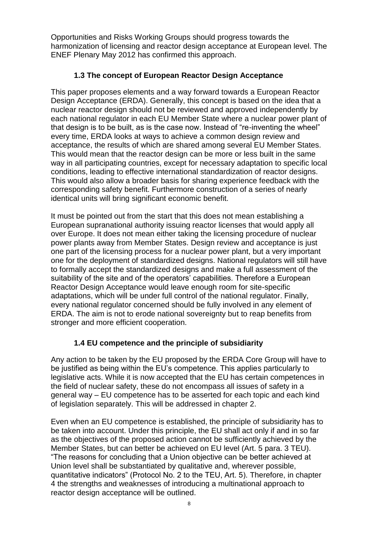Opportunities and Risks Working Groups should progress towards the harmonization of licensing and reactor design acceptance at European level. The ENEF Plenary May 2012 has confirmed this approach.

## **1.3 The concept of European Reactor Design Acceptance**

This paper proposes elements and a way forward towards a European Reactor Design Acceptance (ERDA). Generally, this concept is based on the idea that a nuclear reactor design should not be reviewed and approved independently by each national regulator in each EU Member State where a nuclear power plant of that design is to be built, as is the case now. Instead of "re-inventing the wheel" every time, ERDA looks at ways to achieve a common design review and acceptance, the results of which are shared among several EU Member States. This would mean that the reactor design can be more or less built in the same way in all participating countries, except for necessary adaptation to specific local conditions, leading to effective international standardization of reactor designs. This would also allow a broader basis for sharing experience feedback with the corresponding safety benefit. Furthermore construction of a series of nearly identical units will bring significant economic benefit.

It must be pointed out from the start that this does not mean establishing a European supranational authority issuing reactor licenses that would apply all over Europe. It does not mean either taking the licensing procedure of nuclear power plants away from Member States. Design review and acceptance is just one part of the licensing process for a nuclear power plant, but a very important one for the deployment of standardized designs. National regulators will still have to formally accept the standardized designs and make a full assessment of the suitability of the site and of the operators' capabilities. Therefore a European Reactor Design Acceptance would leave enough room for site-specific adaptations, which will be under full control of the national regulator. Finally, every national regulator concerned should be fully involved in any element of ERDA. The aim is not to erode national sovereignty but to reap benefits from stronger and more efficient cooperation.

#### **1.4 EU competence and the principle of subsidiarity**

Any action to be taken by the EU proposed by the ERDA Core Group will have to be justified as being within the EU's competence. This applies particularly to legislative acts. While it is now accepted that the EU has certain competences in the field of nuclear safety, these do not encompass all issues of safety in a general way – EU competence has to be asserted for each topic and each kind of legislation separately. This will be addressed in chapter 2.

Even when an EU competence is established, the principle of subsidiarity has to be taken into account. Under this principle, the EU shall act only if and in so far as the objectives of the proposed action cannot be sufficiently achieved by the Member States, but can better be achieved on EU level (Art. 5 para. 3 TEU). "The reasons for concluding that a Union objective can be better achieved at Union level shall be substantiated by qualitative and, wherever possible, quantitative indicators" (Protocol No. 2 to the TEU, Art. 5). Therefore, in chapter 4 the strengths and weaknesses of introducing a multinational approach to reactor design acceptance will be outlined.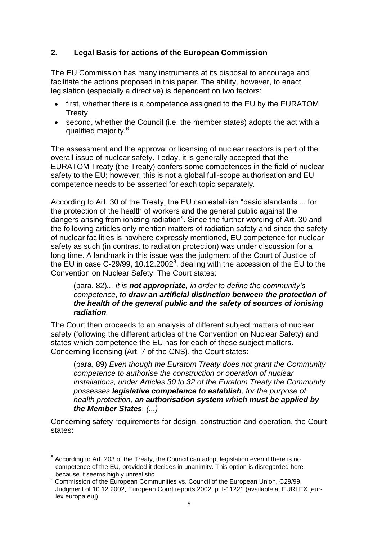## **2. Legal Basis for actions of the European Commission**

The EU Commission has many instruments at its disposal to encourage and facilitate the actions proposed in this paper. The ability, however, to enact legislation (especially a directive) is dependent on two factors:

- first, whether there is a competence assigned to the EU by the EURATOM **Treaty**
- second, whether the Council (i.e. the member states) adopts the act with a qualified majority.<sup>8</sup>

The assessment and the approval or licensing of nuclear reactors is part of the overall issue of nuclear safety. Today, it is generally accepted that the EURATOM Treaty (the Treaty) confers some competences in the field of nuclear safety to the EU; however, this is not a global full-scope authorisation and EU competence needs to be asserted for each topic separately.

According to Art. 30 of the Treaty, the EU can establish "basic standards ... for the protection of the health of workers and the general public against the dangers arising from ionizing radiation". Since the further wording of Art. 30 and the following articles only mention matters of radiation safety and since the safety of nuclear facilities is nowhere expressly mentioned, EU competence for nuclear safety as such (in contrast to radiation protection) was under discussion for a long time. A landmark in this issue was the judgment of the Court of Justice of the EU in case C-29/99, 10.12.2002<sup>9</sup>, dealing with the accession of the EU to the Convention on Nuclear Safety. The Court states:

#### (para. 82)*... it is not appropriate, in order to define the community's competence, to draw an artificial distinction between the protection of the health of the general public and the safety of sources of ionising radiation.*

The Court then proceeds to an analysis of different subject matters of nuclear safety (following the different articles of the Convention on Nuclear Safety) and states which competence the EU has for each of these subject matters. Concerning licensing (Art. 7 of the CNS), the Court states:

(para. 89) *Even though the Euratom Treaty does not grant the Community competence to authorise the construction or operation of nuclear installations, under Articles 30 to 32 of the Euratom Treaty the Community possesses legislative competence to establish, for the purpose of health protection, an authorisation system which must be applied by the Member States. (...)*

Concerning safety requirements for design, construction and operation, the Court states:

 $\overline{a}$  $8$  According to Art. 203 of the Treaty, the Council can adopt legislation even if there is no competence of the EU, provided it decides in unanimity. This option is disregarded here because it seems highly unrealistic.

<sup>&</sup>lt;sup>9</sup> Commission of the European Communities vs. Council of the European Union, C29/99, Judgment of 10.12.2002, European Court reports 2002, p. I-11221 (available at EURLEX [eurlex.europa.eu])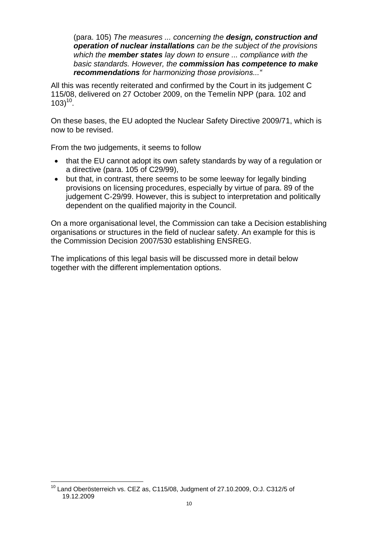(para. 105) *The measures ... concerning the design, construction and operation of nuclear installations can be the subject of the provisions which the member states lay down to ensure ... compliance with the basic standards. However, the commission has competence to make recommendations for harmonizing those provisions..."*

All this was recently reiterated and confirmed by the Court in its judgement C 115/08, delivered on 27 October 2009, on the Temelín NPP (para. 102 and  $103)$ <sup>10</sup>.

On these bases, the EU adopted the Nuclear Safety Directive 2009/71, which is now to be revised.

From the two judgements, it seems to follow

- that the EU cannot adopt its own safety standards by way of a regulation or a directive (para. 105 of C29/99),
- but that, in contrast, there seems to be some leeway for legally binding provisions on licensing procedures, especially by virtue of para. 89 of the judgement C-29/99. However, this is subject to interpretation and politically dependent on the qualified majority in the Council.

On a more organisational level, the Commission can take a Decision establishing organisations or structures in the field of nuclear safety. An example for this is the Commission Decision 2007/530 establishing ENSREG.

The implications of this legal basis will be discussed more in detail below together with the different implementation options.

 $\overline{a}$  $^{10}$  Land Oberösterreich vs. CEZ as, C115/08, Judgment of 27.10.2009, O:J. C312/5 of 19.12.2009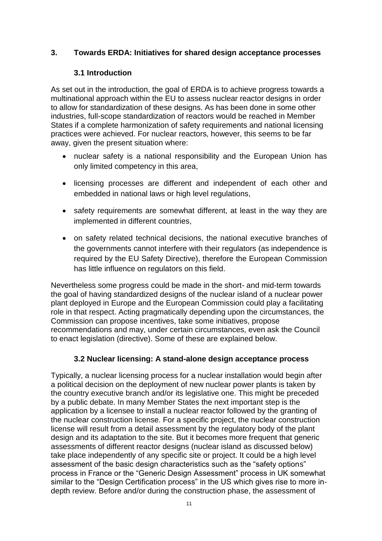#### **3. Towards ERDA: Initiatives for shared design acceptance processes**

#### **3.1 Introduction**

As set out in the introduction, the goal of ERDA is to achieve progress towards a multinational approach within the EU to assess nuclear reactor designs in order to allow for standardization of these designs. As has been done in some other industries, full-scope standardization of reactors would be reached in Member States if a complete harmonization of safety requirements and national licensing practices were achieved. For nuclear reactors, however, this seems to be far away, given the present situation where:

- nuclear safety is a national responsibility and the European Union has only limited competency in this area,
- licensing processes are different and independent of each other and embedded in national laws or high level regulations,
- safety requirements are somewhat different, at least in the way they are implemented in different countries,
- on safety related technical decisions, the national executive branches of the governments cannot interfere with their regulators (as independence is required by the EU Safety Directive), therefore the European Commission has little influence on regulators on this field.

Nevertheless some progress could be made in the short- and mid-term towards the goal of having standardized designs of the nuclear island of a nuclear power plant deployed in Europe and the European Commission could play a facilitating role in that respect. Acting pragmatically depending upon the circumstances, the Commission can propose incentives, take some initiatives, propose recommendations and may, under certain circumstances, even ask the Council to enact legislation (directive). Some of these are explained below.

#### **3.2 Nuclear licensing: A stand-alone design acceptance process**

Typically, a nuclear licensing process for a nuclear installation would begin after a political decision on the deployment of new nuclear power plants is taken by the country executive branch and/or its legislative one. This might be preceded by a public debate. In many Member States the next important step is the application by a licensee to install a nuclear reactor followed by the granting of the nuclear construction license. For a specific project, the nuclear construction license will result from a detail assessment by the regulatory body of the plant design and its adaptation to the site. But it becomes more frequent that generic assessments of different reactor designs (nuclear island as discussed below) take place independently of any specific site or project. It could be a high level assessment of the basic design characteristics such as the "safety options" process in France or the "Generic Design Assessment" process in UK somewhat similar to the "Design Certification process" in the US which gives rise to more indepth review. Before and/or during the construction phase, the assessment of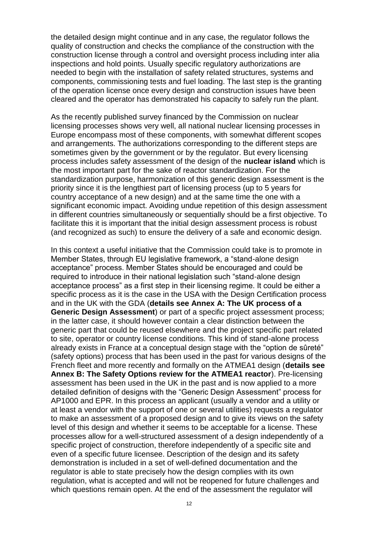the detailed design might continue and in any case, the regulator follows the quality of construction and checks the compliance of the construction with the construction license through a control and oversight process including inter alia inspections and hold points. Usually specific regulatory authorizations are needed to begin with the installation of safety related structures, systems and components, commissioning tests and fuel loading. The last step is the granting of the operation license once every design and construction issues have been cleared and the operator has demonstrated his capacity to safely run the plant.

As the recently published survey financed by the Commission on nuclear licensing processes shows very well, all national nuclear licensing processes in Europe encompass most of these components, with somewhat different scopes and arrangements. The authorizations corresponding to the different steps are sometimes given by the government or by the regulator. But every licensing process includes safety assessment of the design of the **nuclear island** which is the most important part for the sake of reactor standardization. For the standardization purpose, harmonization of this generic design assessment is the priority since it is the lengthiest part of licensing process (up to 5 years for country acceptance of a new design) and at the same time the one with a significant economic impact. Avoiding undue repetition of this design assessment in different countries simultaneously or sequentially should be a first objective. To facilitate this it is important that the initial design assessment process is robust (and recognized as such) to ensure the delivery of a safe and economic design.

In this context a useful initiative that the Commission could take is to promote in Member States, through EU legislative framework, a "stand-alone design acceptance" process. Member States should be encouraged and could be required to introduce in their national legislation such "stand-alone design acceptance process" as a first step in their licensing regime. It could be either a specific process as it is the case in the USA with the Design Certification process and in the UK with the GDA (**details see Annex A: The UK process of a Generic Design Assessment**) or part of a specific project assessment process; in the latter case, it should however contain a clear distinction between the generic part that could be reused elsewhere and the project specific part related to site, operator or country license conditions. This kind of stand-alone process already exists in France at a conceptual design stage with the "option de sûreté" (safety options) process that has been used in the past for various designs of the French fleet and more recently and formally on the ATMEA1 design (**details see Annex B: The Safety Options review for the ATMEA1 reactor**). Pre-licensing assessment has been used in the UK in the past and is now applied to a more detailed definition of designs with the "Generic Design Assessment" process for AP1000 and EPR. In this process an applicant (usually a vendor and a utility or at least a vendor with the support of one or several utilities) requests a regulator to make an assessment of a proposed design and to give its views on the safety level of this design and whether it seems to be acceptable for a license. These processes allow for a well-structured assessment of a design independently of a specific project of construction, therefore independently of a specific site and even of a specific future licensee. Description of the design and its safety demonstration is included in a set of well-defined documentation and the regulator is able to state precisely how the design complies with its own regulation, what is accepted and will not be reopened for future challenges and which questions remain open. At the end of the assessment the regulator will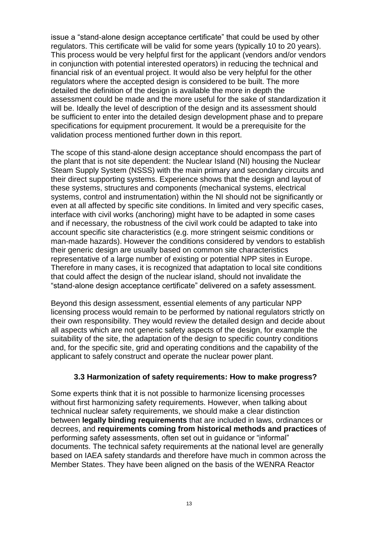issue a "stand-alone design acceptance certificate" that could be used by other regulators. This certificate will be valid for some years (typically 10 to 20 years). This process would be very helpful first for the applicant (vendors and/or vendors in conjunction with potential interested operators) in reducing the technical and financial risk of an eventual project. It would also be very helpful for the other regulators where the accepted design is considered to be built. The more detailed the definition of the design is available the more in depth the assessment could be made and the more useful for the sake of standardization it will be. Ideally the level of description of the design and its assessment should be sufficient to enter into the detailed design development phase and to prepare specifications for equipment procurement. It would be a prerequisite for the validation process mentioned further down in this report.

The scope of this stand-alone design acceptance should encompass the part of the plant that is not site dependent: the Nuclear Island (NI) housing the Nuclear Steam Supply System (NSSS) with the main primary and secondary circuits and their direct supporting systems. Experience shows that the design and layout of these systems, structures and components (mechanical systems, electrical systems, control and instrumentation) within the NI should not be significantly or even at all affected by specific site conditions. In limited and very specific cases, interface with civil works (anchoring) might have to be adapted in some cases and if necessary, the robustness of the civil work could be adapted to take into account specific site characteristics (e.g. more stringent seismic conditions or man-made hazards). However the conditions considered by vendors to establish their generic design are usually based on common site characteristics representative of a large number of existing or potential NPP sites in Europe. Therefore in many cases, it is recognized that adaptation to local site conditions that could affect the design of the nuclear island, should not invalidate the "stand-alone design acceptance certificate" delivered on a safety assessment.

Beyond this design assessment, essential elements of any particular NPP licensing process would remain to be performed by national regulators strictly on their own responsibility. They would review the detailed design and decide about all aspects which are not generic safety aspects of the design, for example the suitability of the site, the adaptation of the design to specific country conditions and, for the specific site, grid and operating conditions and the capability of the applicant to safely construct and operate the nuclear power plant.

#### **3.3 Harmonization of safety requirements: How to make progress?**

Some experts think that it is not possible to harmonize licensing processes without first harmonizing safety requirements. However, when talking about technical nuclear safety requirements, we should make a clear distinction between **legally binding requirements** that are included in laws, ordinances or decrees, and **requirements coming from historical methods and practices** of performing safety assessments, often set out in guidance or "informal" documents. The technical safety requirements at the national level are generally based on IAEA safety standards and therefore have much in common across the Member States. They have been aligned on the basis of the WENRA Reactor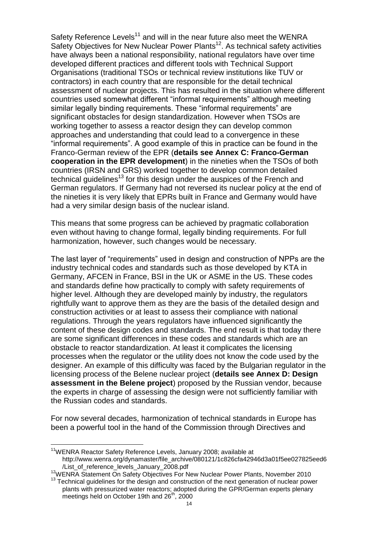Safety Reference Levels<sup>11</sup> and will in the near future also meet the WENRA Safety Objectives for New Nuclear Power Plants<sup>12</sup>. As technical safety activities have always been a national responsibility, national regulators have over time developed different practices and different tools with Technical Support Organisations (traditional TSOs or technical review institutions like TUV or contractors) in each country that are responsible for the detail technical assessment of nuclear projects. This has resulted in the situation where different countries used somewhat different "informal requirements" although meeting similar legally binding requirements. These "informal requirements" are significant obstacles for design standardization. However when TSOs are working together to assess a reactor design they can develop common approaches and understanding that could lead to a convergence in these "informal requirements". A good example of this in practice can be found in the Franco-German review of the EPR (**details see Annex C: Franco-German cooperation in the EPR development**) in the nineties when the TSOs of both countries (IRSN and GRS) worked together to develop common detailed technical guidelines<sup>13</sup> for this design under the auspices of the French and German regulators. If Germany had not reversed its nuclear policy at the end of the nineties it is very likely that EPRs built in France and Germany would have had a very similar design basis of the nuclear island.

This means that some progress can be achieved by pragmatic collaboration even without having to change formal, legally binding requirements. For full harmonization, however, such changes would be necessary.

The last layer of "requirements" used in design and construction of NPPs are the industry technical codes and standards such as those developed by KTA in Germany, AFCEN in France, BSI in the UK or ASME in the US. These codes and standards define how practically to comply with safety requirements of higher level. Although they are developed mainly by industry, the regulators rightfully want to approve them as they are the basis of the detailed design and construction activities or at least to assess their compliance with national regulations. Through the years regulators have influenced significantly the content of these design codes and standards. The end result is that today there are some significant differences in these codes and standards which are an obstacle to reactor standardization. At least it complicates the licensing processes when the regulator or the utility does not know the code used by the designer. An example of this difficulty was faced by the Bulgarian regulator in the licensing process of the Belene nuclear project (**details see Annex D: Design assessment in the Belene project**) proposed by the Russian vendor, because the experts in charge of assessing the design were not sufficiently familiar with the Russian codes and standards.

For now several decades, harmonization of technical standards in Europe has been a powerful tool in the hand of the Commission through Directives and

 $\overline{a}$ 

<sup>&</sup>lt;sup>11</sup>WENRA Reactor Safety Reference Levels, January 2008; available at http://www.wenra.org/dynamaster/file\_archive/080121/1c826cfa42946d3a01f5ee027825eed6 /List\_of\_reference\_levels\_January\_2008.pdf

<sup>&</sup>lt;sup>12</sup>WENRA Statement On Safety Objectives For New Nuclear Power Plants, November 2010

 $13$  Technical guidelines for the design and construction of the next generation of nuclear power plants with pressurized water reactors; adopted during the GPR/German experts plenary meetings held on October 19th and  $26<sup>th</sup>$ , 2000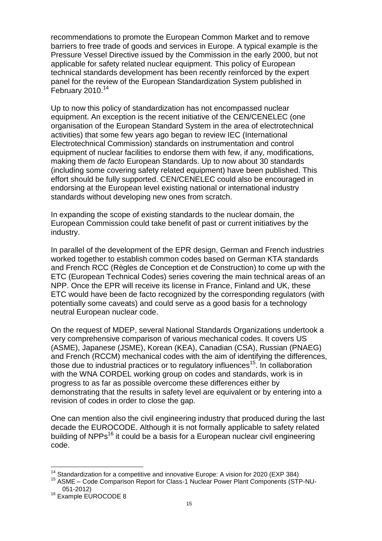recommendations to promote the European Common Market and to remove barriers to free trade of goods and services in Europe. A typical example is the Pressure Vessel Directive issued by the Commission in the early 2000, but not applicable for safety related nuclear equipment. This policy of European technical standards development has been recently reinforced by the expert panel for the review of the European Standardization System published in February 2010. 14

Up to now this policy of standardization has not encompassed nuclear equipment. An exception is the recent initiative of the CEN/CENELEC (one organisation of the European Standard System in the area of electrotechnical activities) that some few years ago began to review IEC (International Electrotechnical Commission) standards on instrumentation and control equipment of nuclear facilities to endorse them with few, if any, modifications, making them *de facto* European Standards. Up to now about 30 standards (including some covering safety related equipment) have been published. This effort should be fully supported. CEN/CENELEC could also be encouraged in endorsing at the European level existing national or international industry standards without developing new ones from scratch.

In expanding the scope of existing standards to the nuclear domain, the European Commission could take benefit of past or current initiatives by the industry.

In parallel of the development of the EPR design, German and French industries worked together to establish common codes based on German KTA standards and French RCC (Règles de Conception et de Construction) to come up with the ETC (European Technical Codes) series covering the main technical areas of an NPP. Once the EPR will receive its license in France, Finland and UK, these ETC would have been de facto recognized by the corresponding regulators (with potentially some caveats) and could serve as a good basis for a technology neutral European nuclear code.

On the request of MDEP, several National Standards Organizations undertook a very comprehensive comparison of various mechanical codes. It covers US (ASME), Japanese (JSME), Korean (KEA), Canadian (CSA), Russian (PNAEG) and French (RCCM) mechanical codes with the aim of identifying the differences, those due to industrial practices or to regulatory influences<sup>15</sup>. In collaboration with the WNA CORDEL working group on codes and standards, work is in progress to as far as possible overcome these differences either by demonstrating that the results in safety level are equivalent or by entering into a revision of codes in order to close the gap.

One can mention also the civil engineering industry that produced during the last decade the EUROCODE. Although it is not formally applicable to safety related building of NPPs<sup>16</sup> it could be a basis for a European nuclear civil engineering code.

 $\overline{a}$ 

 $14$  Standardization for a competitive and innovative Europe: A vision for 2020 (EXP 384)

<sup>&</sup>lt;sup>15</sup> ASME – Code Comparison Report for Class-1 Nuclear Power Plant Components (STP-NU-051-2012)

<sup>&</sup>lt;sup>16</sup> Example EUROCODE 8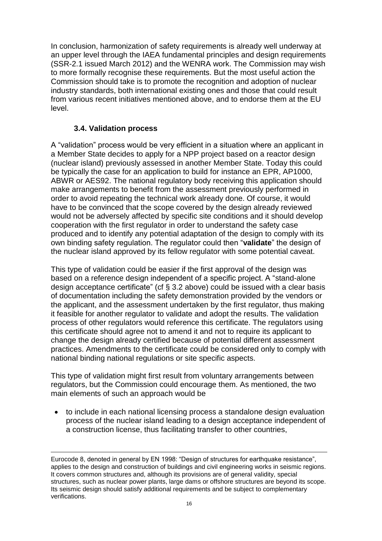In conclusion, harmonization of safety requirements is already well underway at an upper level through the IAEA fundamental principles and design requirements (SSR-2.1 issued March 2012) and the WENRA work. The Commission may wish to more formally recognise these requirements. But the most useful action the Commission should take is to promote the recognition and adoption of nuclear industry standards, both international existing ones and those that could result from various recent initiatives mentioned above, and to endorse them at the EU level.

#### **3.4. Validation process**

<u>.</u>

A "validation" process would be very efficient in a situation where an applicant in a Member State decides to apply for a NPP project based on a reactor design (nuclear island) previously assessed in another Member State. Today this could be typically the case for an application to build for instance an EPR, AP1000, ABWR or AES92. The national regulatory body receiving this application should make arrangements to benefit from the assessment previously performed in order to avoid repeating the technical work already done. Of course, it would have to be convinced that the scope covered by the design already reviewed would not be adversely affected by specific site conditions and it should develop cooperation with the first regulator in order to understand the safety case produced and to identify any potential adaptation of the design to comply with its own binding safety regulation. The regulator could then "**validate**" the design of the nuclear island approved by its fellow regulator with some potential caveat.

This type of validation could be easier if the first approval of the design was based on a reference design independent of a specific project. A "stand-alone design acceptance certificate" (cf  $\S$  3.2 above) could be issued with a clear basis of documentation including the safety demonstration provided by the vendors or the applicant, and the assessment undertaken by the first regulator, thus making it feasible for another regulator to validate and adopt the results. The validation process of other regulators would reference this certificate. The regulators using this certificate should agree not to amend it and not to require its applicant to change the design already certified because of potential different assessment practices. Amendments to the certificate could be considered only to comply with national binding national regulations or site specific aspects.

This type of validation might first result from voluntary arrangements between regulators, but the Commission could encourage them. As mentioned, the two main elements of such an approach would be

 to include in each national licensing process a standalone design evaluation process of the nuclear island leading to a design acceptance independent of a construction license, thus facilitating transfer to other countries,

Eurocode 8, denoted in general by EN 1998: "Design of structures for earthquake resistance", applies to the design and construction of buildings and civil engineering works in seismic regions. It covers common structures and, although its provisions are of general validity, special structures, such as nuclear power plants, large dams or offshore structures are beyond its scope. Its seismic design should satisfy additional requirements and be subject to complementary verifications.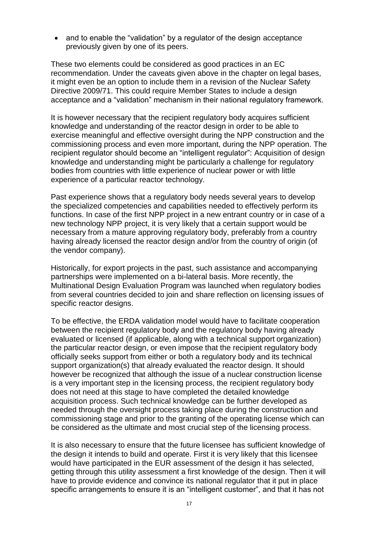• and to enable the "validation" by a regulator of the design acceptance previously given by one of its peers.

These two elements could be considered as good practices in an EC recommendation. Under the caveats given above in the chapter on legal bases, it might even be an option to include them in a revision of the Nuclear Safety Directive 2009/71. This could require Member States to include a design acceptance and a "validation" mechanism in their national regulatory framework.

It is however necessary that the recipient regulatory body acquires sufficient knowledge and understanding of the reactor design in order to be able to exercise meaningful and effective oversight during the NPP construction and the commissioning process and even more important, during the NPP operation. The recipient regulator should become an "intelligent regulator": Acquisition of design knowledge and understanding might be particularly a challenge for regulatory bodies from countries with little experience of nuclear power or with little experience of a particular reactor technology.

Past experience shows that a regulatory body needs several years to develop the specialized competencies and capabilities needed to effectively perform its functions. In case of the first NPP project in a new entrant country or in case of a new technology NPP project, it is very likely that a certain support would be necessary from a mature approving regulatory body, preferably from a country having already licensed the reactor design and/or from the country of origin (of the vendor company).

Historically, for export projects in the past, such assistance and accompanying partnerships were implemented on a bi-lateral basis. More recently, the Multinational Design Evaluation Program was launched when regulatory bodies from several countries decided to join and share reflection on licensing issues of specific reactor designs.

To be effective, the ERDA validation model would have to facilitate cooperation between the recipient regulatory body and the regulatory body having already evaluated or licensed (if applicable, along with a technical support organization) the particular reactor design, or even impose that the recipient regulatory body officially seeks support from either or both a regulatory body and its technical support organization(s) that already evaluated the reactor design. It should however be recognized that although the issue of a nuclear construction license is a very important step in the licensing process, the recipient regulatory body does not need at this stage to have completed the detailed knowledge acquisition process. Such technical knowledge can be further developed as needed through the oversight process taking place during the construction and commissioning stage and prior to the granting of the operating license which can be considered as the ultimate and most crucial step of the licensing process.

It is also necessary to ensure that the future licensee has sufficient knowledge of the design it intends to build and operate. First it is very likely that this licensee would have participated in the EUR assessment of the design it has selected, getting through this utility assessment a first knowledge of the design. Then it will have to provide evidence and convince its national regulator that it put in place specific arrangements to ensure it is an "intelligent customer", and that it has not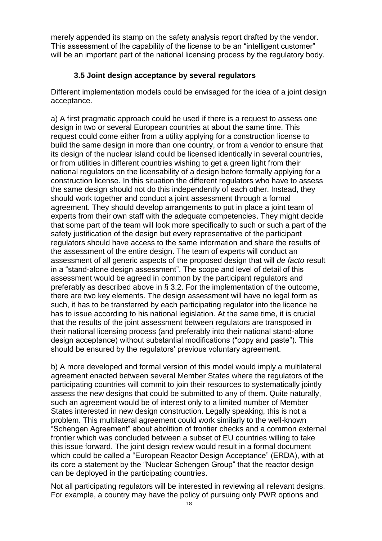merely appended its stamp on the safety analysis report drafted by the vendor. This assessment of the capability of the license to be an "intelligent customer" will be an important part of the national licensing process by the regulatory body.

#### **3.5 Joint design acceptance by several regulators**

Different implementation models could be envisaged for the idea of a joint design acceptance.

a) A first pragmatic approach could be used if there is a request to assess one design in two or several European countries at about the same time. This request could come either from a utility applying for a construction license to build the same design in more than one country, or from a vendor to ensure that its design of the nuclear island could be licensed identically in several countries, or from utilities in different countries wishing to get a green light from their national regulators on the licensability of a design before formally applying for a construction license. In this situation the different regulators who have to assess the same design should not do this independently of each other. Instead, they should work together and conduct a joint assessment through a formal agreement. They should develop arrangements to put in place a joint team of experts from their own staff with the adequate competencies. They might decide that some part of the team will look more specifically to such or such a part of the safety justification of the design but every representative of the participant regulators should have access to the same information and share the results of the assessment of the entire design. The team of experts will conduct an assessment of all generic aspects of the proposed design that will *de facto* result in a "stand-alone design assessment". The scope and level of detail of this assessment would be agreed in common by the participant regulators and preferably as described above in § 3.2. For the implementation of the outcome, there are two key elements. The design assessment will have no legal form as such, it has to be transferred by each participating regulator into the licence he has to issue according to his national legislation. At the same time, it is crucial that the results of the joint assessment between regulators are transposed in their national licensing process (and preferably into their national stand-alone design acceptance) without substantial modifications ("copy and paste"). This should be ensured by the regulators' previous voluntary agreement.

b) A more developed and formal version of this model would imply a multilateral agreement enacted between several Member States where the regulators of the participating countries will commit to join their resources to systematically jointly assess the new designs that could be submitted to any of them. Quite naturally, such an agreement would be of interest only to a limited number of Member States interested in new design construction. Legally speaking, this is not a problem. This multilateral agreement could work similarly to the well-known "Schengen Agreement" about abolition of frontier checks and a common external frontier which was concluded between a subset of EU countries willing to take this issue forward. The joint design review would result in a formal document which could be called a "European Reactor Design Acceptance" (ERDA), with at its core a statement by the "Nuclear Schengen Group" that the reactor design can be deployed in the participating countries.

Not all participating regulators will be interested in reviewing all relevant designs. For example, a country may have the policy of pursuing only PWR options and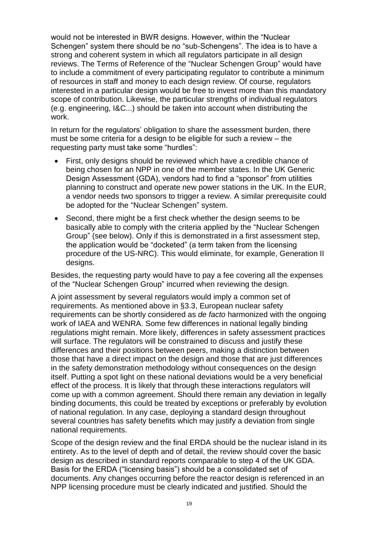would not be interested in BWR designs. However, within the "Nuclear Schengen" system there should be no "sub-Schengens". The idea is to have a strong and coherent system in which all regulators participate in all design reviews. The Terms of Reference of the "Nuclear Schengen Group" would have to include a commitment of every participating regulator to contribute a minimum of resources in staff and money to each design review. Of course, regulators interested in a particular design would be free to invest more than this mandatory scope of contribution. Likewise, the particular strengths of individual regulators (e.g. engineering, I&C...) should be taken into account when distributing the work.

In return for the regulators' obligation to share the assessment burden, there must be some criteria for a design to be eligible for such a review – the requesting party must take some "hurdles":

- First, only designs should be reviewed which have a credible chance of being chosen for an NPP in one of the member states. In the UK Generic Design Assessment (GDA), vendors had to find a "sponsor" from utilities planning to construct and operate new power stations in the UK. In the EUR, a vendor needs two sponsors to trigger a review. A similar prerequisite could be adopted for the "Nuclear Schengen" system.
- Second, there might be a first check whether the design seems to be basically able to comply with the criteria applied by the "Nuclear Schengen Group" (see below). Only if this is demonstrated in a first assessment step, the application would be "docketed" (a term taken from the licensing procedure of the US-NRC). This would eliminate, for example, Generation II designs.

Besides, the requesting party would have to pay a fee covering all the expenses of the "Nuclear Schengen Group" incurred when reviewing the design.

A joint assessment by several regulators would imply a common set of requirements. As mentioned above in §3.3, European nuclear safety requirements can be shortly considered as *de facto* harmonized with the ongoing work of IAEA and WENRA. Some few differences in national legally binding regulations might remain. More likely, differences in safety assessment practices will surface. The regulators will be constrained to discuss and justify these differences and their positions between peers, making a distinction between those that have a direct impact on the design and those that are just differences in the safety demonstration methodology without consequences on the design itself. Putting a spot light on these national deviations would be a very beneficial effect of the process. It is likely that through these interactions regulators will come up with a common agreement. Should there remain any deviation in legally binding documents, this could be treated by exceptions or preferably by evolution of national regulation. In any case, deploying a standard design throughout several countries has safety benefits which may justify a deviation from single national requirements.

Scope of the design review and the final ERDA should be the nuclear island in its entirety. As to the level of depth and of detail, the review should cover the basic design as described in standard reports comparable to step 4 of the UK GDA. Basis for the ERDA ("licensing basis") should be a consolidated set of documents. Any changes occurring before the reactor design is referenced in an NPP licensing procedure must be clearly indicated and justified. Should the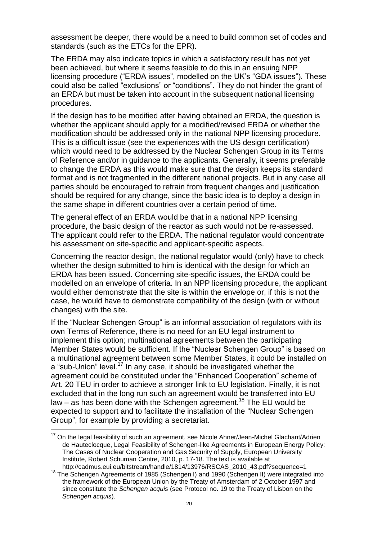assessment be deeper, there would be a need to build common set of codes and standards (such as the ETCs for the EPR).

The ERDA may also indicate topics in which a satisfactory result has not yet been achieved, but where it seems feasible to do this in an ensuing NPP licensing procedure ("ERDA issues", modelled on the UK's "GDA issues"). These could also be called "exclusions" or "conditions". They do not hinder the grant of an ERDA but must be taken into account in the subsequent national licensing procedures.

If the design has to be modified after having obtained an ERDA, the question is whether the applicant should apply for a modified/revised ERDA or whether the modification should be addressed only in the national NPP licensing procedure. This is a difficult issue (see the experiences with the US design certification) which would need to be addressed by the Nuclear Schengen Group in its Terms of Reference and/or in guidance to the applicants. Generally, it seems preferable to change the ERDA as this would make sure that the design keeps its standard format and is not fragmented in the different national projects. But in any case all parties should be encouraged to refrain from frequent changes and justification should be required for any change, since the basic idea is to deploy a design in the same shape in different countries over a certain period of time.

The general effect of an ERDA would be that in a national NPP licensing procedure, the basic design of the reactor as such would not be re-assessed. The applicant could refer to the ERDA. The national regulator would concentrate his assessment on site-specific and applicant-specific aspects.

Concerning the reactor design, the national regulator would (only) have to check whether the design submitted to him is identical with the design for which an ERDA has been issued. Concerning site-specific issues, the ERDA could be modelled on an envelope of criteria. In an NPP licensing procedure, the applicant would either demonstrate that the site is within the envelope or, if this is not the case, he would have to demonstrate compatibility of the design (with or without changes) with the site.

If the "Nuclear Schengen Group" is an informal association of regulators with its own Terms of Reference, there is no need for an EU legal instrument to implement this option; multinational agreements between the participating Member States would be sufficient. If the "Nuclear Schengen Group" is based on a multinational agreement between some Member States, it could be installed on a "sub-Union" level.<sup>17</sup> In any case, it should be investigated whether the agreement could be constituted under the "Enhanced Cooperation" scheme of Art. 20 TEU in order to achieve a stronger link to EU legislation. Finally, it is not excluded that in the long run such an agreement would be transferred into EU law – as has been done with the Schengen agreement.<sup>18</sup> The EU would be expected to support and to facilitate the installation of the "Nuclear Schengen Group", for example by providing a secretariat.

 $\overline{a}$ 

 $17$  On the legal feasibility of such an agreement, see Nicole Ahner/Jean-Michel Glachant/Adrien de Hauteclocque, Legal Feasibility of Schengen-like Agreements in European Energy Policy: The Cases of Nuclear Cooperation and Gas Security of Supply, European University Institute, Robert Schuman Centre, 2010, p. 17-18. The text is available at http://cadmus.eui.eu/bitstream/handle/1814/13976/RSCAS\_2010\_43.pdf?sequence=1

<sup>&</sup>lt;sup>18</sup> The Schengen Agreements of 1985 (Schengen I) and 1990 (Schengen II) were integrated into the framework of the European Union by the Treaty of Amsterdam of 2 October 1997 and since constitute the *Schengen acquis* (see Protocol no. 19 to the Treaty of Lisbon on the *Schengen acquis*).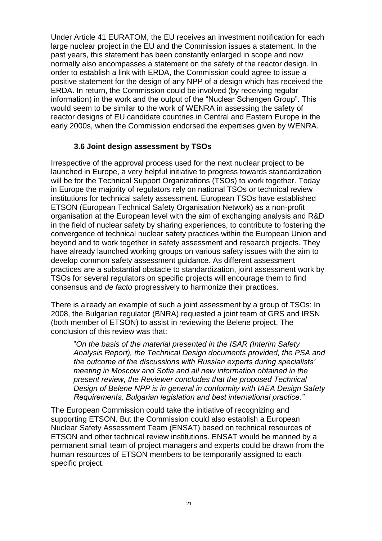Under Article 41 EURATOM, the EU receives an investment notification for each large nuclear project in the EU and the Commission issues a statement. In the past years, this statement has been constantly enlarged in scope and now normally also encompasses a statement on the safety of the reactor design. In order to establish a link with ERDA, the Commission could agree to issue a positive statement for the design of any NPP of a design which has received the ERDA. In return, the Commission could be involved (by receiving regular information) in the work and the output of the "Nuclear Schengen Group". This would seem to be similar to the work of WENRA in assessing the safety of reactor designs of EU candidate countries in Central and Eastern Europe in the early 2000s, when the Commission endorsed the expertises given by WENRA.

#### **3.6 Joint design assessment by TSOs**

Irrespective of the approval process used for the next nuclear project to be launched in Europe, a very helpful initiative to progress towards standardization will be for the Technical Support Organizations (TSOs) to work together. Today in Europe the majority of regulators rely on national TSOs or technical review institutions for technical safety assessment. European TSOs have established ETSON (European Technical Safety Organisation Network) as a non-profit organisation at the European level with the aim of exchanging analysis and R&D in the field of nuclear safety by sharing experiences, to contribute to fostering the convergence of technical nuclear safety practices within the European Union and beyond and to work together in safety assessment and research projects. They have already launched working groups on various safety issues with the aim to develop common safety assessment guidance. As different assessment practices are a substantial obstacle to standardization, joint assessment work by TSOs for several regulators on specific projects will encourage them to find consensus and *de facto* progressively to harmonize their practices.

There is already an example of such a joint assessment by a group of TSOs: In 2008, the Bulgarian regulator (BNRA) requested a joint team of GRS and IRSN (both member of ETSON) to assist in reviewing the Belene project. The conclusion of this review was that:

"*On the basis of the material presented in the ISAR (Interim Safety Analysis Report), the Technical Design documents provided, the PSA and the outcome of the discussions with Russian experts during specialists' meeting in Moscow and Sofia and all new information obtained in the present review, the Reviewer concludes that the proposed Technical Design of Belene NPP is in general in conformity with IAEA Design Safety Requirements, Bulgarian legislation and best international practice."*

The European Commission could take the initiative of recognizing and supporting ETSON. But the Commission could also establish a European Nuclear Safety Assessment Team (ENSAT) based on technical resources of ETSON and other technical review institutions. ENSAT would be manned by a permanent small team of project managers and experts could be drawn from the human resources of ETSON members to be temporarily assigned to each specific project.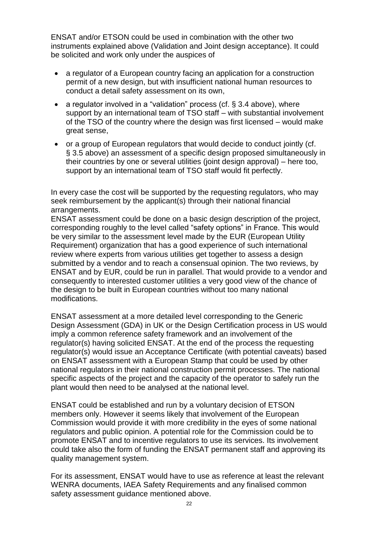ENSAT and/or ETSON could be used in combination with the other two instruments explained above (Validation and Joint design acceptance). It could be solicited and work only under the auspices of

- a regulator of a European country facing an application for a construction permit of a new design, but with insufficient national human resources to conduct a detail safety assessment on its own,
- a regulator involved in a "validation" process (cf.  $\S$  3.4 above), where support by an international team of TSO staff – with substantial involvement of the TSO of the country where the design was first licensed – would make great sense,
- or a group of European regulators that would decide to conduct jointly (cf. § 3.5 above) an assessment of a specific design proposed simultaneously in their countries by one or several utilities (joint design approval) – here too, support by an international team of TSO staff would fit perfectly.

In every case the cost will be supported by the requesting regulators, who may seek reimbursement by the applicant(s) through their national financial arrangements.

ENSAT assessment could be done on a basic design description of the project, corresponding roughly to the level called "safety options" in France. This would be very similar to the assessment level made by the EUR (European Utility Requirement) organization that has a good experience of such international review where experts from various utilities get together to assess a design submitted by a vendor and to reach a consensual opinion. The two reviews, by ENSAT and by EUR, could be run in parallel. That would provide to a vendor and consequently to interested customer utilities a very good view of the chance of the design to be built in European countries without too many national modifications.

ENSAT assessment at a more detailed level corresponding to the Generic Design Assessment (GDA) in UK or the Design Certification process in US would imply a common reference safety framework and an involvement of the regulator(s) having solicited ENSAT. At the end of the process the requesting regulator(s) would issue an Acceptance Certificate (with potential caveats) based on ENSAT assessment with a European Stamp that could be used by other national regulators in their national construction permit processes. The national specific aspects of the project and the capacity of the operator to safely run the plant would then need to be analysed at the national level.

ENSAT could be established and run by a voluntary decision of ETSON members only. However it seems likely that involvement of the European Commission would provide it with more credibility in the eyes of some national regulators and public opinion. A potential role for the Commission could be to promote ENSAT and to incentive regulators to use its services. Its involvement could take also the form of funding the ENSAT permanent staff and approving its quality management system.

For its assessment, ENSAT would have to use as reference at least the relevant WENRA documents, IAEA Safety Requirements and any finalised common safety assessment guidance mentioned above.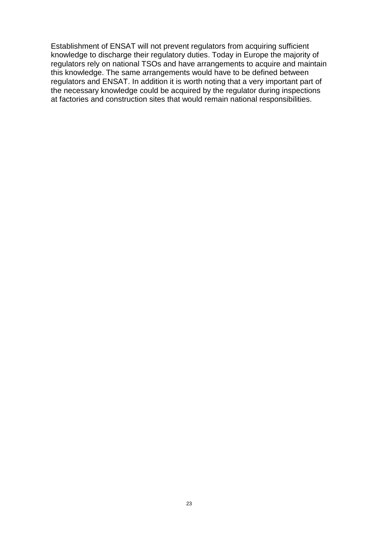Establishment of ENSAT will not prevent regulators from acquiring sufficient knowledge to discharge their regulatory duties. Today in Europe the majority of regulators rely on national TSOs and have arrangements to acquire and maintain this knowledge. The same arrangements would have to be defined between regulators and ENSAT. In addition it is worth noting that a very important part of the necessary knowledge could be acquired by the regulator during inspections at factories and construction sites that would remain national responsibilities.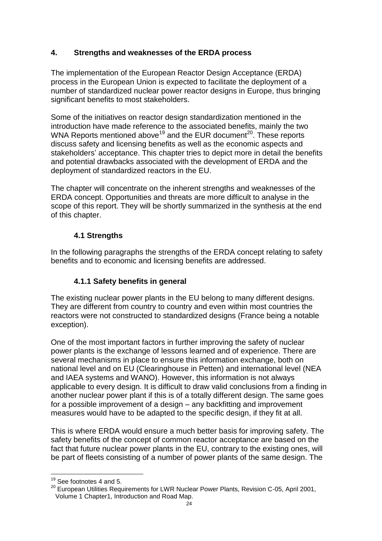## **4. Strengths and weaknesses of the ERDA process**

The implementation of the European Reactor Design Acceptance (ERDA) process in the European Union is expected to facilitate the deployment of a number of standardized nuclear power reactor designs in Europe, thus bringing significant benefits to most stakeholders.

Some of the initiatives on reactor design standardization mentioned in the introduction have made reference to the associated benefits, mainly the two WNA Reports mentioned above<sup>19</sup> and the EUR document<sup>20</sup>. These reports discuss safety and licensing benefits as well as the economic aspects and stakeholders' acceptance. This chapter tries to depict more in detail the benefits and potential drawbacks associated with the development of ERDA and the deployment of standardized reactors in the EU.

The chapter will concentrate on the inherent strengths and weaknesses of the ERDA concept. Opportunities and threats are more difficult to analyse in the scope of this report. They will be shortly summarized in the synthesis at the end of this chapter.

## **4.1 Strengths**

In the following paragraphs the strengths of the ERDA concept relating to safety benefits and to economic and licensing benefits are addressed.

#### **4.1.1 Safety benefits in general**

The existing nuclear power plants in the EU belong to many different designs. They are different from country to country and even within most countries the reactors were not constructed to standardized designs (France being a notable exception).

One of the most important factors in further improving the safety of nuclear power plants is the exchange of lessons learned and of experience. There are several mechanisms in place to ensure this information exchange, both on national level and on EU (Clearinghouse in Petten) and international level (NEA and IAEA systems and WANO). However, this information is not always applicable to every design. It is difficult to draw valid conclusions from a finding in another nuclear power plant if this is of a totally different design. The same goes for a possible improvement of a design – any backfitting and improvement measures would have to be adapted to the specific design, if they fit at all.

This is where ERDA would ensure a much better basis for improving safety. The safety benefits of the concept of common reactor acceptance are based on the fact that future nuclear power plants in the EU, contrary to the existing ones, will be part of fleets consisting of a number of power plants of the same design. The

 $\overline{a}$ 

 $19$  See footnotes 4 and 5.

<sup>20</sup> European Utilities Requirements for LWR Nuclear Power Plants, Revision C-05, April 2001, Volume 1 Chapter1, Introduction and Road Map.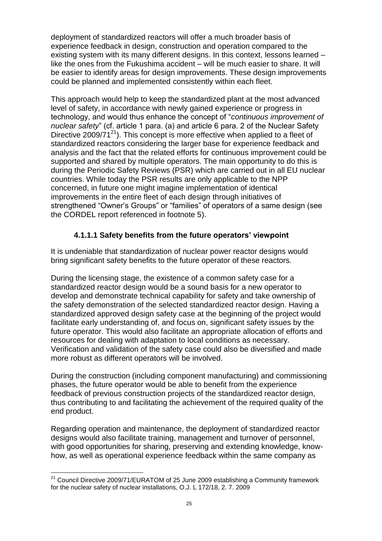deployment of standardized reactors will offer a much broader basis of experience feedback in design, construction and operation compared to the existing system with its many different designs. In this context, lessons learned – like the ones from the Fukushima accident – will be much easier to share. It will be easier to identify areas for design improvements. These design improvements could be planned and implemented consistently within each fleet.

This approach would help to keep the standardized plant at the most advanced level of safety, in accordance with newly gained experience or progress in technology, and would thus enhance the concept of "*continuous improvement of nuclear safety*" (cf. article 1 para. (a) and article 6 para. 2 of the Nuclear Safety Directive 2009/71 $^{21}$ ). This concept is more effective when applied to a fleet of standardized reactors considering the larger base for experience feedback and analysis and the fact that the related efforts for continuous improvement could be supported and shared by multiple operators. The main opportunity to do this is during the Periodic Safety Reviews (PSR) which are carried out in all EU nuclear countries. While today the PSR results are only applicable to the NPP concerned, in future one might imagine implementation of identical improvements in the entire fleet of each design through initiatives of strengthened "Owner's Groups" or "families" of operators of a same design (see the CORDEL report referenced in footnote 5).

#### **4.1.1.1 Safety benefits from the future operators' viewpoint**

It is undeniable that standardization of nuclear power reactor designs would bring significant safety benefits to the future operator of these reactors.

During the licensing stage, the existence of a common safety case for a standardized reactor design would be a sound basis for a new operator to develop and demonstrate technical capability for safety and take ownership of the safety demonstration of the selected standardized reactor design. Having a standardized approved design safety case at the beginning of the project would facilitate early understanding of, and focus on, significant safety issues by the future operator. This would also facilitate an appropriate allocation of efforts and resources for dealing with adaptation to local conditions as necessary. Verification and validation of the safety case could also be diversified and made more robust as different operators will be involved.

During the construction (including component manufacturing) and commissioning phases, the future operator would be able to benefit from the experience feedback of previous construction projects of the standardized reactor design, thus contributing to and facilitating the achievement of the required quality of the end product.

Regarding operation and maintenance, the deployment of standardized reactor designs would also facilitate training, management and turnover of personnel, with good opportunities for sharing, preserving and extending knowledge, knowhow, as well as operational experience feedback within the same company as

 $\overline{a}$  $^{21}$  Council Directive 2009/71/EURATOM of 25 June 2009 establishing a Community framework for the nuclear safety of nuclear installations, O.J. L 172/18, 2. 7. 2009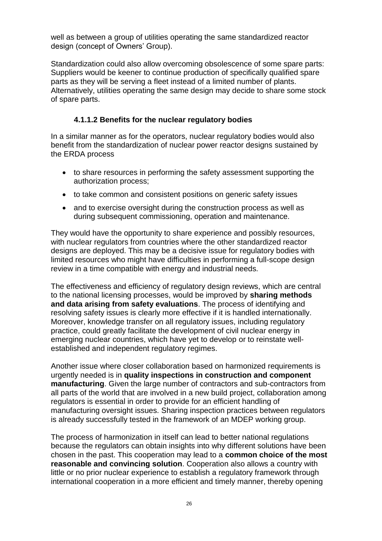well as between a group of utilities operating the same standardized reactor design (concept of Owners' Group).

Standardization could also allow overcoming obsolescence of some spare parts: Suppliers would be keener to continue production of specifically qualified spare parts as they will be serving a fleet instead of a limited number of plants. Alternatively, utilities operating the same design may decide to share some stock of spare parts.

#### **4.1.1.2 Benefits for the nuclear regulatory bodies**

In a similar manner as for the operators, nuclear regulatory bodies would also benefit from the standardization of nuclear power reactor designs sustained by the ERDA process

- to share resources in performing the safety assessment supporting the authorization process;
- to take common and consistent positions on generic safety issues
- and to exercise oversight during the construction process as well as during subsequent commissioning, operation and maintenance.

They would have the opportunity to share experience and possibly resources, with nuclear regulators from countries where the other standardized reactor designs are deployed. This may be a decisive issue for regulatory bodies with limited resources who might have difficulties in performing a full-scope design review in a time compatible with energy and industrial needs.

The effectiveness and efficiency of regulatory design reviews, which are central to the national licensing processes, would be improved by **sharing methods and data arising from safety evaluations**. The process of identifying and resolving safety issues is clearly more effective if it is handled internationally. Moreover, knowledge transfer on all regulatory issues, including regulatory practice, could greatly facilitate the development of civil nuclear energy in emerging nuclear countries, which have yet to develop or to reinstate wellestablished and independent regulatory regimes.

Another issue where closer collaboration based on harmonized requirements is urgently needed is in **quality inspections in construction and component manufacturing**. Given the large number of contractors and sub-contractors from all parts of the world that are involved in a new build project, collaboration among regulators is essential in order to provide for an efficient handling of manufacturing oversight issues. Sharing inspection practices between regulators is already successfully tested in the framework of an MDEP working group.

The process of harmonization in itself can lead to better national regulations because the regulators can obtain insights into why different solutions have been chosen in the past. This cooperation may lead to a **common choice of the most reasonable and convincing solution**. Cooperation also allows a country with little or no prior nuclear experience to establish a regulatory framework through international cooperation in a more efficient and timely manner, thereby opening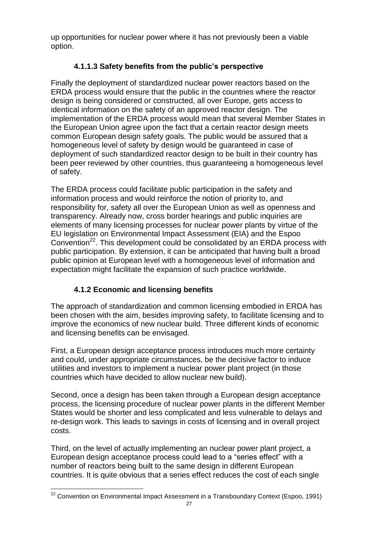up opportunities for nuclear power where it has not previously been a viable option.

## **4.1.1.3 Safety benefits from the public's perspective**

Finally the deployment of standardized nuclear power reactors based on the ERDA process would ensure that the public in the countries where the reactor design is being considered or constructed, all over Europe, gets access to identical information on the safety of an approved reactor design. The implementation of the ERDA process would mean that several Member States in the European Union agree upon the fact that a certain reactor design meets common European design safety goals. The public would be assured that a homogeneous level of safety by design would be guaranteed in case of deployment of such standardized reactor design to be built in their country has been peer reviewed by other countries, thus guaranteeing a homogeneous level of safety.

The ERDA process could facilitate public participation in the safety and information process and would reinforce the notion of priority to, and responsibility for, safety all over the European Union as well as openness and transparency. Already now, cross border hearings and public inquiries are elements of many licensing processes for nuclear power plants by virtue of the EU legislation on Environmental Impact Assessment (EIA) and the Espoo Convention<sup>22</sup>. This development could be consolidated by an ERDA process with public participation. By extension, it can be anticipated that having built a broad public opinion at European level with a homogeneous level of information and expectation might facilitate the expansion of such practice worldwide.

## **4.1.2 Economic and licensing benefits**

The approach of standardization and common licensing embodied in ERDA has been chosen with the aim, besides improving safety, to facilitate licensing and to improve the economics of new nuclear build. Three different kinds of economic and licensing benefits can be envisaged.

First, a European design acceptance process introduces much more certainty and could, under appropriate circumstances, be the decisive factor to induce utilities and investors to implement a nuclear power plant project (in those countries which have decided to allow nuclear new build).

Second, once a design has been taken through a European design acceptance process, the licensing procedure of nuclear power plants in the different Member States would be shorter and less complicated and less vulnerable to delays and re-design work. This leads to savings in costs of licensing and in overall project costs.

Third, on the level of actually implementing an nuclear power plant project, a European design acceptance process could lead to a "series effect" with a number of reactors being built to the same design in different European countries. It is quite obvious that a series effect reduces the cost of each single

 $\overline{a}$  $^{22}$  Convention on Environmental Impact Assessment in a Transboundary Context (Espoo, 1991)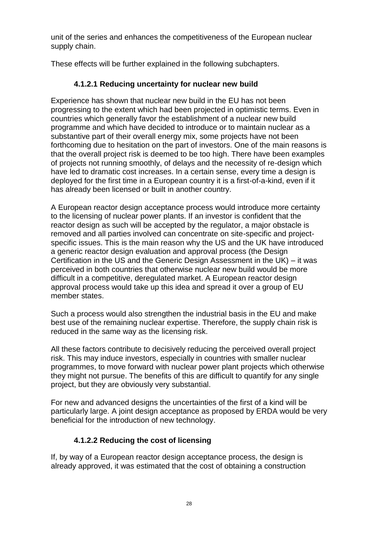unit of the series and enhances the competitiveness of the European nuclear supply chain.

These effects will be further explained in the following subchapters.

#### **4.1.2.1 Reducing uncertainty for nuclear new build**

Experience has shown that nuclear new build in the EU has not been progressing to the extent which had been projected in optimistic terms. Even in countries which generally favor the establishment of a nuclear new build programme and which have decided to introduce or to maintain nuclear as a substantive part of their overall energy mix, some projects have not been forthcoming due to hesitation on the part of investors. One of the main reasons is that the overall project risk is deemed to be too high. There have been examples of projects not running smoothly, of delays and the necessity of re-design which have led to dramatic cost increases. In a certain sense, every time a design is deployed for the first time in a European country it is a first-of-a-kind, even if it has already been licensed or built in another country.

A European reactor design acceptance process would introduce more certainty to the licensing of nuclear power plants. If an investor is confident that the reactor design as such will be accepted by the regulator, a major obstacle is removed and all parties involved can concentrate on site-specific and projectspecific issues. This is the main reason why the US and the UK have introduced a generic reactor design evaluation and approval process (the Design Certification in the US and the Generic Design Assessment in the UK) – it was perceived in both countries that otherwise nuclear new build would be more difficult in a competitive, deregulated market. A European reactor design approval process would take up this idea and spread it over a group of EU member states.

Such a process would also strengthen the industrial basis in the EU and make best use of the remaining nuclear expertise. Therefore, the supply chain risk is reduced in the same way as the licensing risk.

All these factors contribute to decisively reducing the perceived overall project risk. This may induce investors, especially in countries with smaller nuclear programmes, to move forward with nuclear power plant projects which otherwise they might not pursue. The benefits of this are difficult to quantify for any single project, but they are obviously very substantial.

For new and advanced designs the uncertainties of the first of a kind will be particularly large. A joint design acceptance as proposed by ERDA would be very beneficial for the introduction of new technology.

#### **4.1.2.2 Reducing the cost of licensing**

If, by way of a European reactor design acceptance process, the design is already approved, it was estimated that the cost of obtaining a construction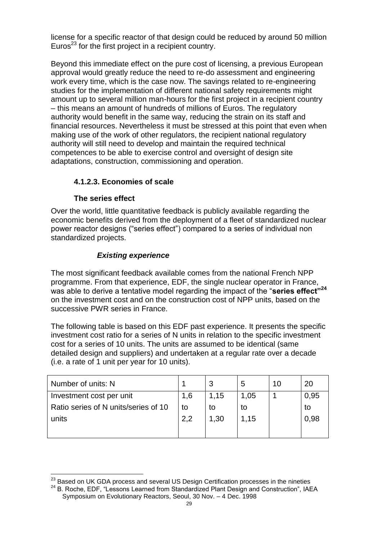license for a specific reactor of that design could be reduced by around 50 million Euros<sup>23</sup> for the first project in a recipient country.

Beyond this immediate effect on the pure cost of licensing, a previous European approval would greatly reduce the need to re-do assessment and engineering work every time, which is the case now. The savings related to re-engineering studies for the implementation of different national safety requirements might amount up to several million man-hours for the first project in a recipient country – this means an amount of hundreds of millions of Euros. The regulatory authority would benefit in the same way, reducing the strain on its staff and financial resources. Nevertheless it must be stressed at this point that even when making use of the work of other regulators, the recipient national regulatory authority will still need to develop and maintain the required technical competences to be able to exercise control and oversight of design site adaptations, construction, commissioning and operation.

## **4.1.2.3. Economies of scale**

#### **The series effect**

Over the world, little quantitative feedback is publicly available regarding the economic benefits derived from the deployment of a fleet of standardized nuclear power reactor designs ("series effect") compared to a series of individual non standardized projects.

## *Existing experience*

The most significant feedback available comes from the national French NPP programme. From that experience, EDF, the single nuclear operator in France, was able to derive a tentative model regarding the impact of the "**series effect"<sup>24</sup>** on the investment cost and on the construction cost of NPP units, based on the successive PWR series in France.

The following table is based on this EDF past experience. It presents the specific investment cost ratio for a series of N units in relation to the specific investment cost for a series of 10 units. The units are assumed to be identical (same detailed design and suppliers) and undertaken at a regular rate over a decade (i.e. a rate of 1 unit per year for 10 units).

| Number of units: N                   |     |      | b    | 10 | 20   |
|--------------------------------------|-----|------|------|----|------|
| Investment cost per unit             | 1,6 | 1,15 | 1,05 |    | 0,95 |
| Ratio series of N units/series of 10 | to  | to   | to   |    | to   |
| units                                | 2,2 | 1,30 | 1,15 |    | 0,98 |
|                                      |     |      |      |    |      |

 $\overline{a}$  $^{23}$  Based on UK GDA process and several US Design Certification processes in the nineties

<sup>&</sup>lt;sup>24</sup> B. Roche, EDF, "Lessons Learned from Standardized Plant Design and Construction", IAEA Symposium on Evolutionary Reactors, Seoul, 30 Nov. – 4 Dec. 1998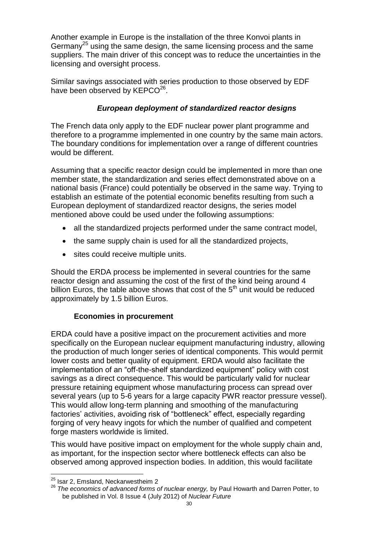Another example in Europe is the installation of the three Konvoi plants in Germany<sup>25</sup> using the same design, the same licensing process and the same suppliers. The main driver of this concept was to reduce the uncertainties in the licensing and oversight process.

Similar savings associated with series production to those observed by EDF have been observed by KEPCO<sup>26</sup>.

## *European deployment of standardized reactor designs*

The French data only apply to the EDF nuclear power plant programme and therefore to a programme implemented in one country by the same main actors. The boundary conditions for implementation over a range of different countries would be different.

Assuming that a specific reactor design could be implemented in more than one member state, the standardization and series effect demonstrated above on a national basis (France) could potentially be observed in the same way. Trying to establish an estimate of the potential economic benefits resulting from such a European deployment of standardized reactor designs, the series model mentioned above could be used under the following assumptions:

- all the standardized projects performed under the same contract model,
- the same supply chain is used for all the standardized projects,
- sites could receive multiple units.

Should the ERDA process be implemented in several countries for the same reactor design and assuming the cost of the first of the kind being around 4 billion Euros, the table above shows that cost of the  $5<sup>th</sup>$  unit would be reduced approximately by 1.5 billion Euros.

## **Economies in procurement**

ERDA could have a positive impact on the procurement activities and more specifically on the European nuclear equipment manufacturing industry, allowing the production of much longer series of identical components. This would permit lower costs and better quality of equipment. ERDA would also facilitate the implementation of an "off-the-shelf standardized equipment" policy with cost savings as a direct consequence. This would be particularly valid for nuclear pressure retaining equipment whose manufacturing process can spread over several years (up to 5-6 years for a large capacity PWR reactor pressure vessel). This would allow long-term planning and smoothing of the manufacturing factories' activities, avoiding risk of "bottleneck" effect, especially regarding forging of very heavy ingots for which the number of qualified and competent forge masters worldwide is limited.

This would have positive impact on employment for the whole supply chain and, as important, for the inspection sector where bottleneck effects can also be observed among approved inspection bodies. In addition, this would facilitate

 $\overline{a}$ 

<sup>&</sup>lt;sup>25</sup> Isar 2. Emsland, Neckarwestheim 2

<sup>26</sup> *The economics of advanced forms of nuclear energy,* by Paul Howarth and Darren Potter, to be published in Vol. 8 Issue 4 (July 2012) of *Nuclear Future*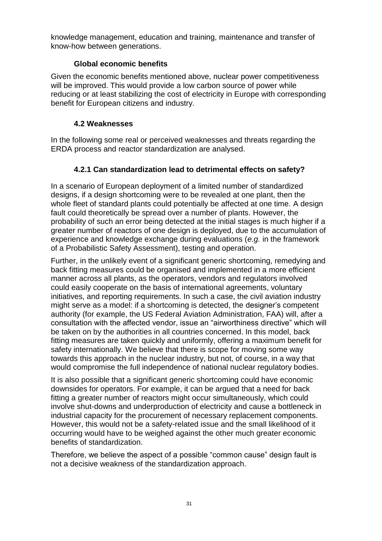knowledge management, education and training, maintenance and transfer of know-how between generations.

## **Global economic benefits**

Given the economic benefits mentioned above, nuclear power competitiveness will be improved. This would provide a low carbon source of power while reducing or at least stabilizing the cost of electricity in Europe with corresponding benefit for European citizens and industry.

## **4.2 Weaknesses**

In the following some real or perceived weaknesses and threats regarding the ERDA process and reactor standardization are analysed.

## **4.2.1 Can standardization lead to detrimental effects on safety?**

In a scenario of European deployment of a limited number of standardized designs, if a design shortcoming were to be revealed at one plant, then the whole fleet of standard plants could potentially be affected at one time. A design fault could theoretically be spread over a number of plants. However, the probability of such an error being detected at the initial stages is much higher if a greater number of reactors of one design is deployed, due to the accumulation of experience and knowledge exchange during evaluations (*e.g.* in the framework of a Probabilistic Safety Assessment), testing and operation.

Further, in the unlikely event of a significant generic shortcoming, remedying and back fitting measures could be organised and implemented in a more efficient manner across all plants, as the operators, vendors and regulators involved could easily cooperate on the basis of international agreements, voluntary initiatives, and reporting requirements. In such a case, the civil aviation industry might serve as a model: if a shortcoming is detected, the designer's competent authority (for example, the US Federal Aviation Administration, FAA) will, after a consultation with the affected vendor, issue an "airworthiness directive" which will be taken on by the authorities in all countries concerned. In this model, back fitting measures are taken quickly and uniformly, offering a maximum benefit for safety internationally. We believe that there is scope for moving some way towards this approach in the nuclear industry, but not, of course, in a way that would compromise the full independence of national nuclear regulatory bodies.

It is also possible that a significant generic shortcoming could have economic downsides for operators. For example, it can be argued that a need for back fitting a greater number of reactors might occur simultaneously, which could involve shut-downs and underproduction of electricity and cause a bottleneck in industrial capacity for the procurement of necessary replacement components. However, this would not be a safety-related issue and the small likelihood of it occurring would have to be weighed against the other much greater economic benefits of standardization.

Therefore, we believe the aspect of a possible "common cause" design fault is not a decisive weakness of the standardization approach.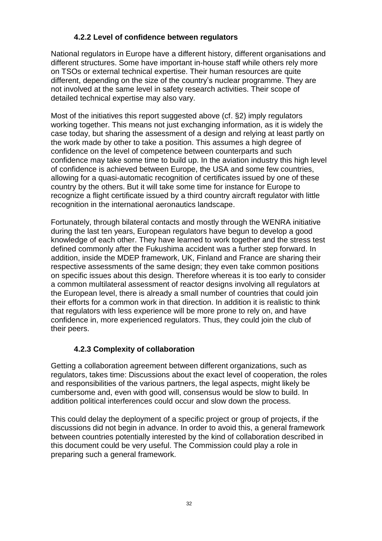#### **4.2.2 Level of confidence between regulators**

National regulators in Europe have a different history, different organisations and different structures. Some have important in-house staff while others rely more on TSOs or external technical expertise. Their human resources are quite different, depending on the size of the country's nuclear programme. They are not involved at the same level in safety research activities. Their scope of detailed technical expertise may also vary.

Most of the initiatives this report suggested above (cf. §2) imply regulators working together. This means not just exchanging information, as it is widely the case today, but sharing the assessment of a design and relying at least partly on the work made by other to take a position. This assumes a high degree of confidence on the level of competence between counterparts and such confidence may take some time to build up. In the aviation industry this high level of confidence is achieved between Europe, the USA and some few countries, allowing for a quasi-automatic recognition of certificates issued by one of these country by the others. But it will take some time for instance for Europe to recognize a flight certificate issued by a third country aircraft regulator with little recognition in the international aeronautics landscape.

Fortunately, through bilateral contacts and mostly through the WENRA initiative during the last ten years, European regulators have begun to develop a good knowledge of each other. They have learned to work together and the stress test defined commonly after the Fukushima accident was a further step forward. In addition, inside the MDEP framework, UK, Finland and France are sharing their respective assessments of the same design; they even take common positions on specific issues about this design. Therefore whereas it is too early to consider a common multilateral assessment of reactor designs involving all regulators at the European level, there is already a small number of countries that could join their efforts for a common work in that direction. In addition it is realistic to think that regulators with less experience will be more prone to rely on, and have confidence in, more experienced regulators. Thus, they could join the club of their peers.

## **4.2.3 Complexity of collaboration**

Getting a collaboration agreement between different organizations, such as regulators, takes time: Discussions about the exact level of cooperation, the roles and responsibilities of the various partners, the legal aspects, might likely be cumbersome and, even with good will, consensus would be slow to build. In addition political interferences could occur and slow down the process.

This could delay the deployment of a specific project or group of projects, if the discussions did not begin in advance. In order to avoid this, a general framework between countries potentially interested by the kind of collaboration described in this document could be very useful. The Commission could play a role in preparing such a general framework.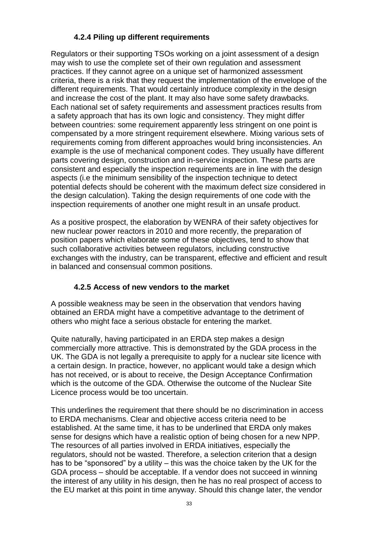## **4.2.4 Piling up different requirements**

Regulators or their supporting TSOs working on a joint assessment of a design may wish to use the complete set of their own regulation and assessment practices. If they cannot agree on a unique set of harmonized assessment criteria, there is a risk that they request the implementation of the envelope of the different requirements. That would certainly introduce complexity in the design and increase the cost of the plant. It may also have some safety drawbacks. Each national set of safety requirements and assessment practices results from a safety approach that has its own logic and consistency. They might differ between countries: some requirement apparently less stringent on one point is compensated by a more stringent requirement elsewhere. Mixing various sets of requirements coming from different approaches would bring inconsistencies. An example is the use of mechanical component codes. They usually have different parts covering design, construction and in-service inspection. These parts are consistent and especially the inspection requirements are in line with the design aspects (i.e the minimum sensibility of the inspection technique to detect potential defects should be coherent with the maximum defect size considered in the design calculation). Taking the design requirements of one code with the inspection requirements of another one might result in an unsafe product.

As a positive prospect, the elaboration by WENRA of their safety objectives for new nuclear power reactors in 2010 and more recently, the preparation of position papers which elaborate some of these objectives, tend to show that such collaborative activities between regulators, including constructive exchanges with the industry, can be transparent, effective and efficient and result in balanced and consensual common positions.

## **4.2.5 Access of new vendors to the market**

A possible weakness may be seen in the observation that vendors having obtained an ERDA might have a competitive advantage to the detriment of others who might face a serious obstacle for entering the market.

Quite naturally, having participated in an ERDA step makes a design commercially more attractive. This is demonstrated by the GDA process in the UK. The GDA is not legally a prerequisite to apply for a nuclear site licence with a certain design. In practice, however, no applicant would take a design which has not received, or is about to receive, the Design Acceptance Confirmation which is the outcome of the GDA. Otherwise the outcome of the Nuclear Site Licence process would be too uncertain.

This underlines the requirement that there should be no discrimination in access to ERDA mechanisms. Clear and objective access criteria need to be established. At the same time, it has to be underlined that ERDA only makes sense for designs which have a realistic option of being chosen for a new NPP. The resources of all parties involved in ERDA initiatives, especially the regulators, should not be wasted. Therefore, a selection criterion that a design has to be "sponsored" by a utility – this was the choice taken by the UK for the GDA process – should be acceptable. If a vendor does not succeed in winning the interest of any utility in his design, then he has no real prospect of access to the EU market at this point in time anyway. Should this change later, the vendor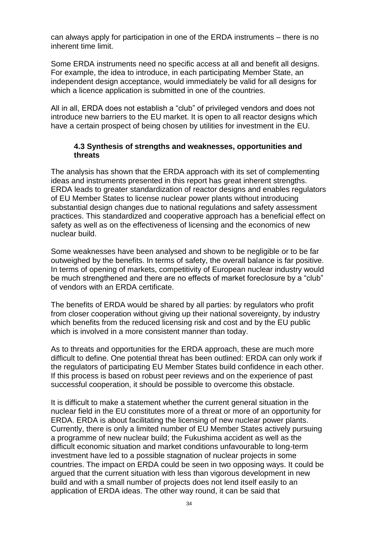can always apply for participation in one of the ERDA instruments – there is no inherent time limit.

Some ERDA instruments need no specific access at all and benefit all designs. For example, the idea to introduce, in each participating Member State, an independent design acceptance, would immediately be valid for all designs for which a licence application is submitted in one of the countries.

All in all, ERDA does not establish a "club" of privileged vendors and does not introduce new barriers to the EU market. It is open to all reactor designs which have a certain prospect of being chosen by utilities for investment in the EU.

#### **4.3 Synthesis of strengths and weaknesses, opportunities and threats**

The analysis has shown that the ERDA approach with its set of complementing ideas and instruments presented in this report has great inherent strengths. ERDA leads to greater standardization of reactor designs and enables regulators of EU Member States to license nuclear power plants without introducing substantial design changes due to national regulations and safety assessment practices. This standardized and cooperative approach has a beneficial effect on safety as well as on the effectiveness of licensing and the economics of new nuclear build.

Some weaknesses have been analysed and shown to be negligible or to be far outweighed by the benefits. In terms of safety, the overall balance is far positive. In terms of opening of markets, competitivity of European nuclear industry would be much strengthened and there are no effects of market foreclosure by a "club" of vendors with an ERDA certificate.

The benefits of ERDA would be shared by all parties: by regulators who profit from closer cooperation without giving up their national sovereignty, by industry which benefits from the reduced licensing risk and cost and by the EU public which is involved in a more consistent manner than today.

As to threats and opportunities for the ERDA approach, these are much more difficult to define. One potential threat has been outlined: ERDA can only work if the regulators of participating EU Member States build confidence in each other. If this process is based on robust peer reviews and on the experience of past successful cooperation, it should be possible to overcome this obstacle.

It is difficult to make a statement whether the current general situation in the nuclear field in the EU constitutes more of a threat or more of an opportunity for ERDA. ERDA is about facilitating the licensing of new nuclear power plants. Currently, there is only a limited number of EU Member States actively pursuing a programme of new nuclear build; the Fukushima accident as well as the difficult economic situation and market conditions unfavourable to long-term investment have led to a possible stagnation of nuclear projects in some countries. The impact on ERDA could be seen in two opposing ways. It could be argued that the current situation with less than vigorous development in new build and with a small number of projects does not lend itself easily to an application of ERDA ideas. The other way round, it can be said that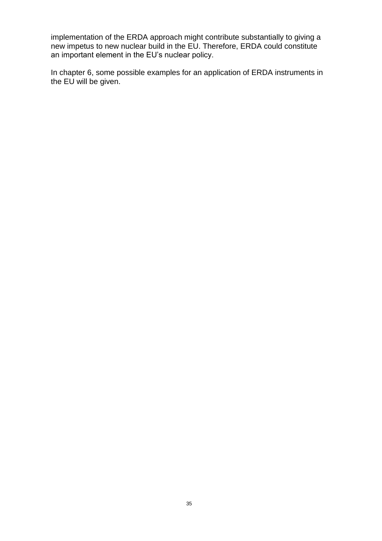implementation of the ERDA approach might contribute substantially to giving a new impetus to new nuclear build in the EU. Therefore, ERDA could constitute an important element in the EU's nuclear policy.

In chapter 6, some possible examples for an application of ERDA instruments in the EU will be given.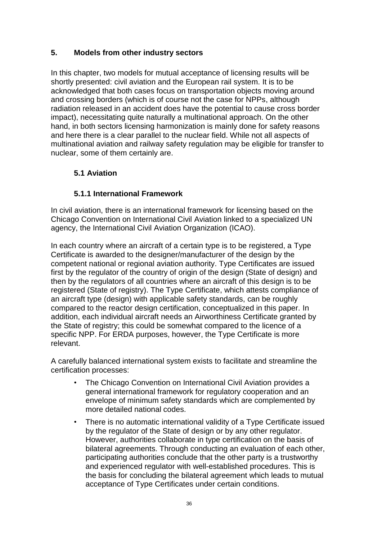## **5. Models from other industry sectors**

In this chapter, two models for mutual acceptance of licensing results will be shortly presented: civil aviation and the European rail system. It is to be acknowledged that both cases focus on transportation objects moving around and crossing borders (which is of course not the case for NPPs, although radiation released in an accident does have the potential to cause cross border impact), necessitating quite naturally a multinational approach. On the other hand, in both sectors licensing harmonization is mainly done for safety reasons and here there is a clear parallel to the nuclear field. While not all aspects of multinational aviation and railway safety regulation may be eligible for transfer to nuclear, some of them certainly are.

## **5.1 Aviation**

## **5.1.1 International Framework**

In civil aviation, there is an international framework for licensing based on the Chicago Convention on International Civil Aviation linked to a specialized UN agency, the International Civil Aviation Organization (ICAO).

In each country where an aircraft of a certain type is to be registered, a Type Certificate is awarded to the designer/manufacturer of the design by the competent national or regional aviation authority. Type Certificates are issued first by the regulator of the country of origin of the design (State of design) and then by the regulators of all countries where an aircraft of this design is to be registered (State of registry). The Type Certificate, which attests compliance of an aircraft type (design) with applicable safety standards, can be roughly compared to the reactor design certification, conceptualized in this paper. In addition, each individual aircraft needs an Airworthiness Certificate granted by the State of registry; this could be somewhat compared to the licence of a specific NPP. For ERDA purposes, however, the Type Certificate is more relevant.

A carefully balanced international system exists to facilitate and streamline the certification processes:

- The Chicago Convention on International Civil Aviation provides a general international framework for regulatory cooperation and an envelope of minimum safety standards which are complemented by more detailed national codes.
- There is no automatic international validity of a Type Certificate issued by the regulator of the State of design or by any other regulator. However, authorities collaborate in type certification on the basis of bilateral agreements. Through conducting an evaluation of each other, participating authorities conclude that the other party is a trustworthy and experienced regulator with well-established procedures. This is the basis for concluding the bilateral agreement which leads to mutual acceptance of Type Certificates under certain conditions.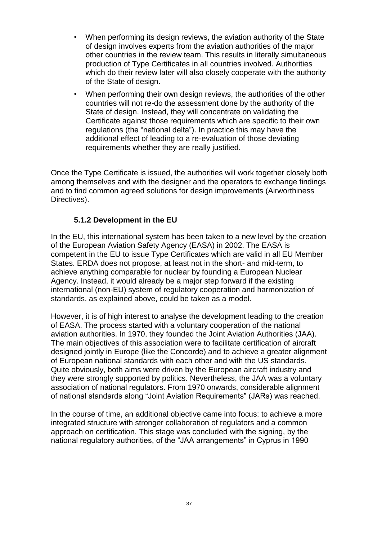- When performing its design reviews, the aviation authority of the State of design involves experts from the aviation authorities of the major other countries in the review team. This results in literally simultaneous production of Type Certificates in all countries involved. Authorities which do their review later will also closely cooperate with the authority of the State of design.
- When performing their own design reviews, the authorities of the other countries will not re-do the assessment done by the authority of the State of design. Instead, they will concentrate on validating the Certificate against those requirements which are specific to their own regulations (the "national delta"). In practice this may have the additional effect of leading to a re-evaluation of those deviating requirements whether they are really justified.

Once the Type Certificate is issued, the authorities will work together closely both among themselves and with the designer and the operators to exchange findings and to find common agreed solutions for design improvements (Airworthiness Directives).

## **5.1.2 Development in the EU**

In the EU, this international system has been taken to a new level by the creation of the European Aviation Safety Agency (EASA) in 2002. The EASA is competent in the EU to issue Type Certificates which are valid in all EU Member States. ERDA does not propose, at least not in the short- and mid-term, to achieve anything comparable for nuclear by founding a European Nuclear Agency. Instead, it would already be a major step forward if the existing international (non-EU) system of regulatory cooperation and harmonization of standards, as explained above, could be taken as a model.

However, it is of high interest to analyse the development leading to the creation of EASA. The process started with a voluntary cooperation of the national aviation authorities. In 1970, they founded the Joint Aviation Authorities (JAA). The main objectives of this association were to facilitate certification of aircraft designed jointly in Europe (like the Concorde) and to achieve a greater alignment of European national standards with each other and with the US standards. Quite obviously, both aims were driven by the European aircraft industry and they were strongly supported by politics. Nevertheless, the JAA was a voluntary association of national regulators. From 1970 onwards, considerable alignment of national standards along "Joint Aviation Requirements" (JARs) was reached.

In the course of time, an additional objective came into focus: to achieve a more integrated structure with stronger collaboration of regulators and a common approach on certification. This stage was concluded with the signing, by the national regulatory authorities, of the "JAA arrangements" in Cyprus in 1990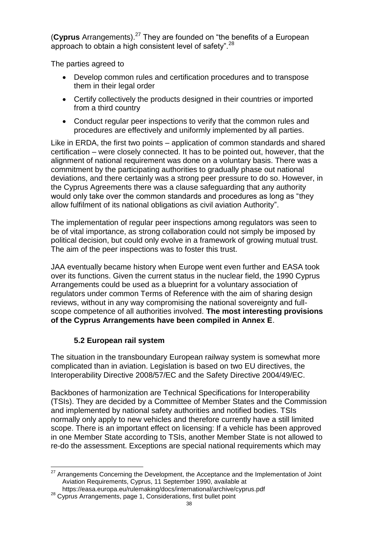(**Cyprus** Arrangements).<sup>27</sup> They are founded on "the benefits of a European approach to obtain a high consistent level of safety".  $28$ 

The parties agreed to

- Develop common rules and certification procedures and to transpose them in their legal order
- Certify collectively the products designed in their countries or imported from a third country
- Conduct regular peer inspections to verify that the common rules and procedures are effectively and uniformly implemented by all parties.

Like in ERDA, the first two points – application of common standards and shared certification – were closely connected. It has to be pointed out, however, that the alignment of national requirement was done on a voluntary basis. There was a commitment by the participating authorities to gradually phase out national deviations, and there certainly was a strong peer pressure to do so. However, in the Cyprus Agreements there was a clause safeguarding that any authority would only take over the common standards and procedures as long as "they allow fulfilment of its national obligations as civil aviation Authority".

The implementation of regular peer inspections among regulators was seen to be of vital importance, as strong collaboration could not simply be imposed by political decision, but could only evolve in a framework of growing mutual trust. The aim of the peer inspections was to foster this trust.

JAA eventually became history when Europe went even further and EASA took over its functions. Given the current status in the nuclear field, the 1990 Cyprus Arrangements could be used as a blueprint for a voluntary association of regulators under common Terms of Reference with the aim of sharing design reviews, without in any way compromising the national sovereignty and fullscope competence of all authorities involved. **The most interesting provisions of the Cyprus Arrangements have been compiled in Annex E**.

#### **5.2 European rail system**

The situation in the transboundary European railway system is somewhat more complicated than in aviation. Legislation is based on two EU directives, the Interoperability Directive 2008/57/EC and the Safety Directive 2004/49/EC.

Backbones of harmonization are Technical Specifications for Interoperability (TSIs). They are decided by a Committee of Member States and the Commission and implemented by national safety authorities and notified bodies. TSIs normally only apply to new vehicles and therefore currently have a still limited scope. There is an important effect on licensing: If a vehicle has been approved in one Member State according to TSIs, another Member State is not allowed to re-do the assessment. Exceptions are special national requirements which may

 $\overline{a}$ <sup>27</sup> Arrangements Concerning the Development, the Acceptance and the Implementation of Joint Aviation Requirements, Cyprus, 11 September 1990, available at

https://easa.europa.eu/rulemaking/docs/international/archive/cyprus.pdf

<sup>28</sup> Cyprus Arrangements, page 1, Considerations, first bullet point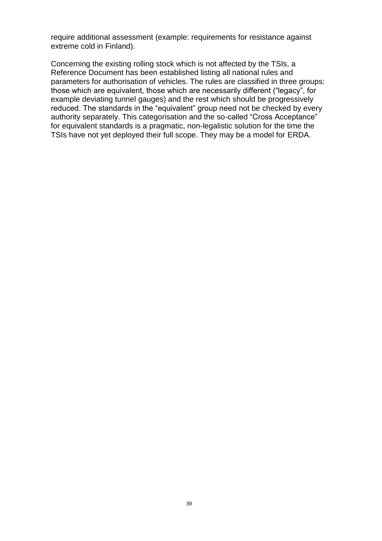require additional assessment (example: requirements for resistance against extreme cold in Finland).

Concerning the existing rolling stock which is not affected by the TSIs, a Reference Document has been established listing all national rules and parameters for authorisation of vehicles. The rules are classified in three groups: those which are equivalent, those which are necessarily different ("legacy", for example deviating tunnel gauges) and the rest which should be progressively reduced. The standards in the "equivalent" group need not be checked by every authority separately. This categorisation and the so-called "Cross Acceptance" for equivalent standards is a pragmatic, non-legalistic solution for the time the TSIs have not yet deployed their full scope. They may be a model for ERDA.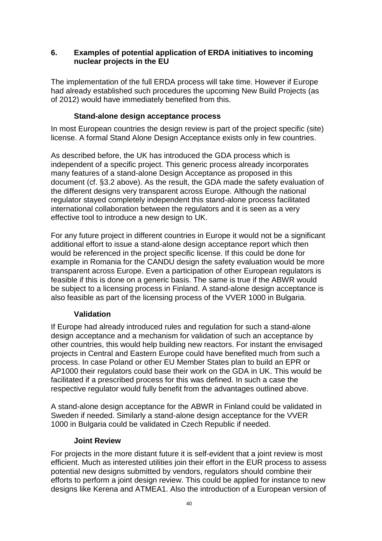#### **6. Examples of potential application of ERDA initiatives to incoming nuclear projects in the EU**

The implementation of the full ERDA process will take time. However if Europe had already established such procedures the upcoming New Build Projects (as of 2012) would have immediately benefited from this.

#### **Stand-alone design acceptance process**

In most European countries the design review is part of the project specific (site) license. A formal Stand Alone Design Acceptance exists only in few countries.

As described before, the UK has introduced the GDA process which is independent of a specific project. This generic process already incorporates many features of a stand-alone Design Acceptance as proposed in this document (cf. §3.2 above). As the result, the GDA made the safety evaluation of the different designs very transparent across Europe. Although the national regulator stayed completely independent this stand-alone process facilitated international collaboration between the regulators and it is seen as a very effective tool to introduce a new design to UK.

For any future project in different countries in Europe it would not be a significant additional effort to issue a stand-alone design acceptance report which then would be referenced in the project specific license. If this could be done for example in Romania for the CANDU design the safety evaluation would be more transparent across Europe. Even a participation of other European regulators is feasible if this is done on a generic basis. The same is true if the ABWR would be subject to a licensing process in Finland. A stand-alone design acceptance is also feasible as part of the licensing process of the VVER 1000 in Bulgaria.

#### **Validation**

If Europe had already introduced rules and regulation for such a stand-alone design acceptance and a mechanism for validation of such an acceptance by other countries, this would help building new reactors. For instant the envisaged projects in Central and Eastern Europe could have benefited much from such a process. In case Poland or other EU Member States plan to build an EPR or AP1000 their regulators could base their work on the GDA in UK. This would be facilitated if a prescribed process for this was defined. In such a case the respective regulator would fully benefit from the advantages outlined above.

A stand-alone design acceptance for the ABWR in Finland could be validated in Sweden if needed. Similarly a stand-alone design acceptance for the VVER 1000 in Bulgaria could be validated in Czech Republic if needed.

#### **Joint Review**

For projects in the more distant future it is self-evident that a joint review is most efficient. Much as interested utilities join their effort in the EUR process to assess potential new designs submitted by vendors, regulators should combine their efforts to perform a joint design review. This could be applied for instance to new designs like Kerena and ATMEA1. Also the introduction of a European version of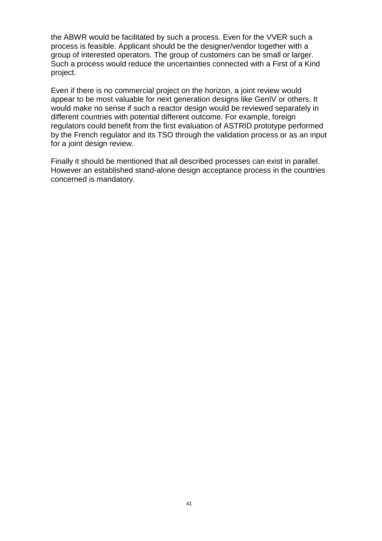the ABWR would be facilitated by such a process. Even for the VVER such a process is feasible. Applicant should be the designer/vendor together with a group of interested operators. The group of customers can be small or larger. Such a process would reduce the uncertainties connected with a First of a Kind project.

Even if there is no commercial project on the horizon, a joint review would appear to be most valuable for next generation designs like GenIV or others. It would make no sense if such a reactor design would be reviewed separately in different countries with potential different outcome. For example, foreign regulators could benefit from the first evaluation of ASTRID prototype performed by the French regulator and its TSO through the validation process or as an input for a joint design review.

Finally it should be mentioned that all described processes can exist in parallel. However an established stand-alone design acceptance process in the countries concerned is mandatory.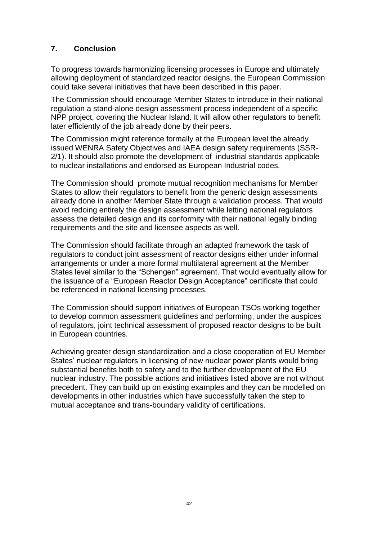## **7. Conclusion**

To progress towards harmonizing licensing processes in Europe and ultimately allowing deployment of standardized reactor designs, the European Commission could take several initiatives that have been described in this paper.

The Commission should encourage Member States to introduce in their national regulation a stand-alone design assessment process independent of a specific NPP project, covering the Nuclear Island. It will allow other regulators to benefit later efficiently of the job already done by their peers.

The Commission might reference formally at the European level the already issued WENRA Safety Objectives and IAEA design safety requirements (SSR-2/1). It should also promote the development of industrial standards applicable to nuclear installations and endorsed as European Industrial codes.

The Commission should promote mutual recognition mechanisms for Member States to allow their regulators to benefit from the generic design assessments already done in another Member State through a validation process. That would avoid redoing entirely the design assessment while letting national regulators assess the detailed design and its conformity with their national legally binding requirements and the site and licensee aspects as well.

The Commission should facilitate through an adapted framework the task of regulators to conduct joint assessment of reactor designs either under informal arrangements or under a more formal multilateral agreement at the Member States level similar to the "Schengen" agreement. That would eventually allow for the issuance of a "European Reactor Design Acceptance" certificate that could be referenced in national licensing processes.

The Commission should support initiatives of European TSOs working together to develop common assessment guidelines and performing, under the auspices of regulators, joint technical assessment of proposed reactor designs to be built in European countries.

Achieving greater design standardization and a close cooperation of EU Member States' nuclear regulators in licensing of new nuclear power plants would bring substantial benefits both to safety and to the further development of the EU nuclear industry. The possible actions and initiatives listed above are not without precedent. They can build up on existing examples and they can be modelled on developments in other industries which have successfully taken the step to mutual acceptance and trans-boundary validity of certifications.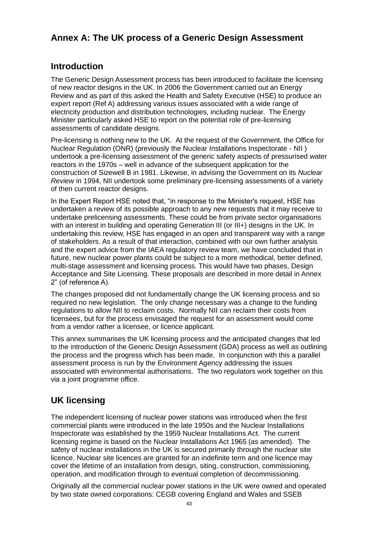# **Annex A: The UK process of a Generic Design Assessment**

# **Introduction**

The Generic Design Assessment process has been introduced to facilitate the licensing of new reactor designs in the UK. In 2006 the Government carried out an Energy Review and as part of this asked the Health and Safety Executive (HSE) to produce an expert report (Ref A) addressing various issues associated with a wide range of electricity production and distribution technologies, including nuclear. The Energy Minister particularly asked HSE to report on the potential role of pre-licensing assessments of candidate designs.

Pre-licensing is nothing new to the UK. At the request of the Government, the Office for Nuclear Regulation (ONR) (previously the Nuclear Installations Inspectorate - NII ) undertook a pre-licensing assessment of the generic safety aspects of pressurised water reactors in the 1970s – well in advance of the subsequent application for the construction of Sizewell B in 1981. Likewise, in advising the Government on its *Nuclear Review* in 1994, NII undertook some preliminary pre-licensing assessments of a variety of then current reactor designs.

In the Expert Report HSE noted that, "in response to the Minister's request, HSE has undertaken a review of its possible approach to any new requests that it may receive to undertake prelicensing assessments. These could be from private sector organisations with an interest in building and operating Generation III (or III+) designs in the UK. In undertaking this review, HSE has engaged in an open and transparent way with a range of stakeholders. As a result of that interaction, combined with our own further analysis and the expert advice from the IAEA regulatory review team, we have concluded that in future, new nuclear power plants could be subject to a more methodical, better defined, multi-stage assessment and licensing process. This would have two phases, Design Acceptance and Site Licensing. These proposals are described in more detail in Annex 2" (of reference A).

The changes proposed did not fundamentally change the UK licensing process and so required no new legislation. The only change necessary was a change to the funding regulations to allow NII to reclaim costs. Normally NII can reclaim their costs from licensees, but for the process envisaged the request for an assessment would come from a vendor rather a licensee, or licence applicant.

This annex summarises the UK licensing process and the anticipated changes that led to the introduction of the Generic Design Assessment (GDA) process as well as outlining the process and the progress which has been made. In conjunction with this a parallel assessment process is run by the Environment Agency addressing the issues associated with environmental authorisations. The two regulators work together on this via a joint programme office.

# **UK licensing**

The independent licensing of nuclear power stations was introduced when the first commercial plants were introduced in the late 1950s and the Nuclear Installations Inspectorate was established by the 1959 Nuclear Installations Act. The current licensing regime is based on the Nuclear Installations Act 1965 (as amended). The safety of nuclear installations in the UK is secured primarily through the nuclear site licence. Nuclear site licences are granted for an indefinite term and one licence may cover the lifetime of an installation from design, siting, construction, commissioning, operation, and modification through to eventual completion of decommissioning.

Originally all the commercial nuclear power stations in the UK were owned and operated by two state owned corporations: CEGB covering England and Wales and SSEB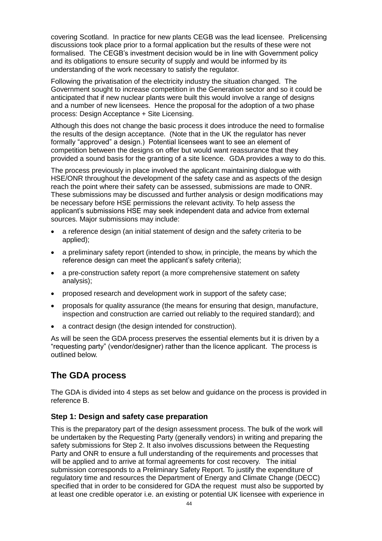covering Scotland. In practice for new plants CEGB was the lead licensee. Prelicensing discussions took place prior to a formal application but the results of these were not formalised. The CEGB's investment decision would be in line with Government policy and its obligations to ensure security of supply and would be informed by its understanding of the work necessary to satisfy the regulator.

Following the privatisation of the electricity industry the situation changed. The Government sought to increase competition in the Generation sector and so it could be anticipated that if new nuclear plants were built this would involve a range of designs and a number of new licensees. Hence the proposal for the adoption of a two phase process: Design Acceptance + Site Licensing.

Although this does not change the basic process it does introduce the need to formalise the results of the design acceptance. (Note that in the UK the regulator has never formally "approved" a design.) Potential licensees want to see an element of competition between the designs on offer but would want reassurance that they provided a sound basis for the granting of a site licence. GDA provides a way to do this.

The process previously in place involved the applicant maintaining dialogue with HSE/ONR throughout the development of the safety case and as aspects of the design reach the point where their safety can be assessed, submissions are made to ONR. These submissions may be discussed and further analysis or design modifications may be necessary before HSE permissions the relevant activity. To help assess the applicant's submissions HSE may seek independent data and advice from external sources. Major submissions may include:

- a reference design (an initial statement of design and the safety criteria to be applied);
- a preliminary safety report (intended to show, in principle, the means by which the reference design can meet the applicant's safety criteria);
- a pre-construction safety report (a more comprehensive statement on safety analysis);
- proposed research and development work in support of the safety case;
- proposals for quality assurance (the means for ensuring that design, manufacture, inspection and construction are carried out reliably to the required standard); and
- a contract design (the design intended for construction).

As will be seen the GDA process preserves the essential elements but it is driven by a "requesting party" (vendor/designer) rather than the licence applicant. The process is outlined below.

# **The GDA process**

The GDA is divided into 4 steps as set below and guidance on the process is provided in reference B.

#### **Step 1: Design and safety case preparation**

This is the preparatory part of the design assessment process. The bulk of the work will be undertaken by the Requesting Party (generally vendors) in writing and preparing the safety submissions for Step 2. It also involves discussions between the Requesting Party and ONR to ensure a full understanding of the requirements and processes that will be applied and to arrive at formal agreements for cost recovery. The initial submission corresponds to a Preliminary Safety Report. To justify the expenditure of regulatory time and resources the Department of Energy and Climate Change (DECC) specified that in order to be considered for GDA the request must also be supported by at least one credible operator i.e. an existing or potential UK licensee with experience in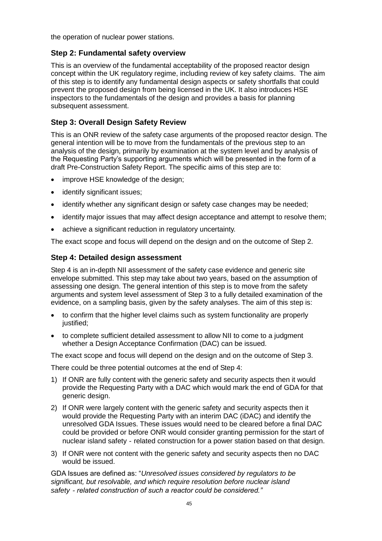the operation of nuclear power stations.

#### **Step 2: Fundamental safety overview**

This is an overview of the fundamental acceptability of the proposed reactor design concept within the UK regulatory regime, including review of key safety claims. The aim of this step is to identify any fundamental design aspects or safety shortfalls that could prevent the proposed design from being licensed in the UK. It also introduces HSE inspectors to the fundamentals of the design and provides a basis for planning subsequent assessment.

#### **Step 3: Overall Design Safety Review**

This is an ONR review of the safety case arguments of the proposed reactor design. The general intention will be to move from the fundamentals of the previous step to an analysis of the design, primarily by examination at the system level and by analysis of the Requesting Party's supporting arguments which will be presented in the form of a draft Pre-Construction Safety Report. The specific aims of this step are to:

- improve HSE knowledge of the design;
- identify significant issues;
- identify whether any significant design or safety case changes may be needed;
- identify major issues that may affect design acceptance and attempt to resolve them;
- achieve a significant reduction in regulatory uncertainty.

The exact scope and focus will depend on the design and on the outcome of Step 2.

#### **Step 4: Detailed design assessment**

Step 4 is an in-depth NII assessment of the safety case evidence and generic site envelope submitted. This step may take about two years, based on the assumption of assessing one design. The general intention of this step is to move from the safety arguments and system level assessment of Step 3 to a fully detailed examination of the evidence, on a sampling basis, given by the safety analyses. The aim of this step is:

- to confirm that the higher level claims such as system functionality are properly justified:
- to complete sufficient detailed assessment to allow NII to come to a judgment whether a Design Acceptance Confirmation (DAC) can be issued.

The exact scope and focus will depend on the design and on the outcome of Step 3.

There could be three potential outcomes at the end of Step 4:

- 1) If ONR are fully content with the generic safety and security aspects then it would provide the Requesting Party with a DAC which would mark the end of GDA for that generic design.
- 2) If ONR were largely content with the generic safety and security aspects then it would provide the Requesting Party with an interim DAC (iDAC) and identify the unresolved GDA Issues. These issues would need to be cleared before a final DAC could be provided or before ONR would consider granting permission for the start of nuclear island safety - related construction for a power station based on that design.
- 3) If ONR were not content with the generic safety and security aspects then no DAC would be issued.

GDA Issues are defined as: "*Unresolved issues considered by regulators to be significant, but resolvable, and which require resolution before nuclear island safety*‐*related construction of such a reactor could be considered."*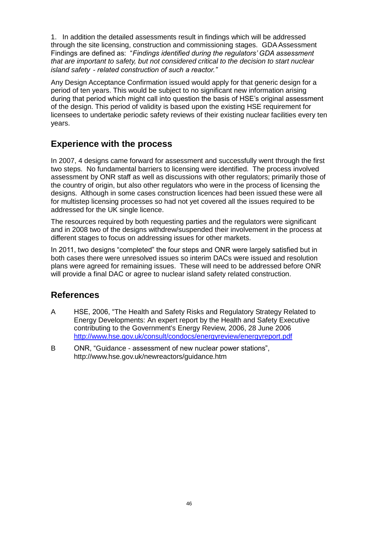1. In addition the detailed assessments result in findings which will be addressed through the site licensing, construction and commissioning stages. GDA Assessment Findings are defined as: "*Findings identified during the regulators' GDA assessment that are important to safety, but not considered critical to the decision to start nuclear island safety*‐*related construction of such a reactor."*

Any Design Acceptance Confirmation issued would apply for that generic design for a period of ten years. This would be subject to no significant new information arising during that period which might call into question the basis of HSE's original assessment of the design. This period of validity is based upon the existing HSE requirement for licensees to undertake periodic safety reviews of their existing nuclear facilities every ten years.

# **Experience with the process**

In 2007, 4 designs came forward for assessment and successfully went through the first two steps. No fundamental barriers to licensing were identified. The process involved assessment by ONR staff as well as discussions with other regulators; primarily those of the country of origin, but also other regulators who were in the process of licensing the designs. Although in some cases construction licences had been issued these were all for multistep licensing processes so had not yet covered all the issues required to be addressed for the UK single licence.

The resources required by both requesting parties and the regulators were significant and in 2008 two of the designs withdrew/suspended their involvement in the process at different stages to focus on addressing issues for other markets.

In 2011, two designs "completed" the four steps and ONR were largely satisfied but in both cases there were unresolved issues so interim DACs were issued and resolution plans were agreed for remaining issues. These will need to be addressed before ONR will provide a final DAC or agree to nuclear island safety related construction.

## **References**

- A HSE, 2006, "The Health and Safety Risks and Regulatory Strategy Related to Energy Developments: An expert report by the Health and Safety Executive contributing to the Government's Energy Review, 2006, 28 June 2006 <http://www.hse.gov.uk/consult/condocs/energyreview/energyreport.pdf>
- B ONR, "Guidance assessment of new nuclear power stations", <http://www.hse.gov.uk/newreactors/guidance.htm>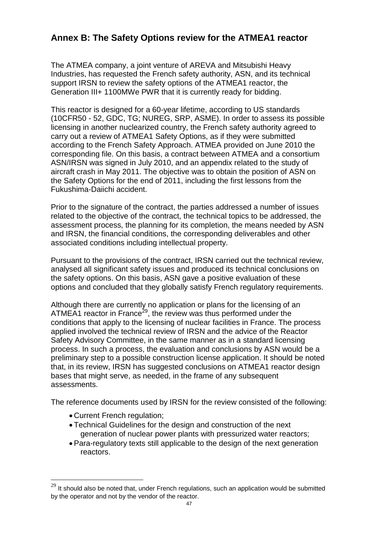# **Annex B: The Safety Options review for the ATMEA1 reactor**

The ATMEA company, a joint venture of AREVA and Mitsubishi Heavy Industries, has requested the French safety authority, ASN, and its technical support IRSN to review the safety options of the ATMEA1 reactor, the Generation III+ 1100MWe PWR that it is currently ready for bidding.

This reactor is designed for a 60-year lifetime, according to US standards (10CFR50 - 52, GDC, TG; NUREG, SRP, ASME). In order to assess its possible licensing in another nuclearized country, the French safety authority agreed to carry out a review of ATMEA1 Safety Options, as if they were submitted according to the French Safety Approach. ATMEA provided on June 2010 the corresponding file. On this basis, a contract between ATMEA and a consortium ASN/IRSN was signed in July 2010, and an appendix related to the study of aircraft crash in May 2011. The objective was to obtain the position of ASN on the Safety Options for the end of 2011, including the first lessons from the Fukushima-Daiichi accident.

Prior to the signature of the contract, the parties addressed a number of issues related to the objective of the contract, the technical topics to be addressed, the assessment process, the planning for its completion, the means needed by ASN and IRSN, the financial conditions, the corresponding deliverables and other associated conditions including intellectual property.

Pursuant to the provisions of the contract, IRSN carried out the technical review, analysed all significant safety issues and produced its technical conclusions on the safety options. On this basis, ASN gave a positive evaluation of these options and concluded that they globally satisfy French regulatory requirements.

Although there are currently no application or plans for the licensing of an ATMEA1 reactor in France<sup>29</sup>, the review was thus performed under the conditions that apply to the licensing of nuclear facilities in France. The process applied involved the technical review of IRSN and the advice of the Reactor Safety Advisory Committee, in the same manner as in a standard licensing process. In such a process, the evaluation and conclusions by ASN would be a preliminary step to a possible construction license application. It should be noted that, in its review, IRSN has suggested conclusions on ATMEA1 reactor design bases that might serve, as needed, in the frame of any subsequent assessments.

The reference documents used by IRSN for the review consisted of the following:

Current French regulation;

 $\overline{a}$ 

- Technical Guidelines for the design and construction of the next generation of nuclear power plants with pressurized water reactors;
- Para-regulatory texts still applicable to the design of the next generation reactors.

 $^{29}$  It should also be noted that, under French regulations, such an application would be submitted by the operator and not by the vendor of the reactor.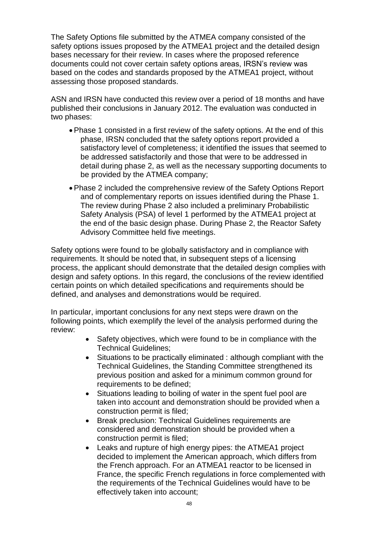The Safety Options file submitted by the ATMEA company consisted of the safety options issues proposed by the ATMEA1 project and the detailed design bases necessary for their review. In cases where the proposed reference documents could not cover certain safety options areas, IRSN's review was based on the codes and standards proposed by the ATMEA1 project, without assessing those proposed standards.

ASN and IRSN have conducted this review over a period of 18 months and have published their conclusions in January 2012. The evaluation was conducted in two phases:

- Phase 1 consisted in a first review of the safety options. At the end of this phase, IRSN concluded that the safety options report provided a satisfactory level of completeness; it identified the issues that seemed to be addressed satisfactorily and those that were to be addressed in detail during phase 2, as well as the necessary supporting documents to be provided by the ATMEA company;
- Phase 2 included the comprehensive review of the Safety Options Report and of complementary reports on issues identified during the Phase 1. The review during Phase 2 also included a preliminary Probabilistic Safety Analysis (PSA) of level 1 performed by the ATMEA1 project at the end of the basic design phase. During Phase 2, the Reactor Safety Advisory Committee held five meetings.

Safety options were found to be globally satisfactory and in compliance with requirements. It should be noted that, in subsequent steps of a licensing process, the applicant should demonstrate that the detailed design complies with design and safety options. In this regard, the conclusions of the review identified certain points on which detailed specifications and requirements should be defined, and analyses and demonstrations would be required.

In particular, important conclusions for any next steps were drawn on the following points, which exemplify the level of the analysis performed during the review:

- Safety objectives, which were found to be in compliance with the Technical Guidelines;
- Situations to be practically eliminated : although compliant with the Technical Guidelines, the Standing Committee strengthened its previous position and asked for a minimum common ground for requirements to be defined;
- Situations leading to boiling of water in the spent fuel pool are taken into account and demonstration should be provided when a construction permit is filed;
- Break preclusion: Technical Guidelines requirements are considered and demonstration should be provided when a construction permit is filed;
- Leaks and rupture of high energy pipes: the ATMEA1 project decided to implement the American approach, which differs from the French approach. For an ATMEA1 reactor to be licensed in France, the specific French regulations in force complemented with the requirements of the Technical Guidelines would have to be effectively taken into account;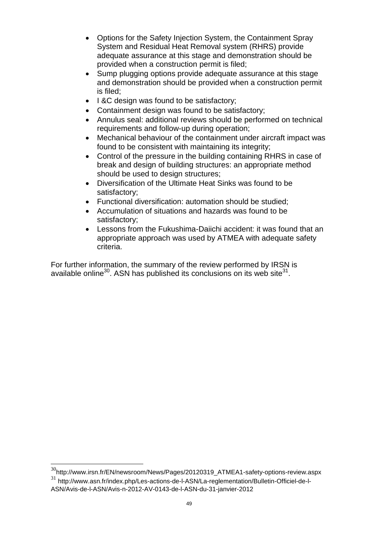- Options for the Safety Injection System, the Containment Spray System and Residual Heat Removal system (RHRS) provide adequate assurance at this stage and demonstration should be provided when a construction permit is filed;
- Sump plugging options provide adequate assurance at this stage and demonstration should be provided when a construction permit is filed;
- I &C design was found to be satisfactory;
- Containment design was found to be satisfactory:
- Annulus seal: additional reviews should be performed on technical requirements and follow-up during operation;
- Mechanical behaviour of the containment under aircraft impact was found to be consistent with maintaining its integrity;
- Control of the pressure in the building containing RHRS in case of break and design of building structures: an appropriate method should be used to design structures;
- Diversification of the Ultimate Heat Sinks was found to be satisfactory;
- Functional diversification: automation should be studied;
- Accumulation of situations and hazards was found to be satisfactory;
- Lessons from the Fukushima-Daiichi accident: it was found that an appropriate approach was used by ATMEA with adequate safety criteria.

For further information, the summary of the review performed by IRSN is available online<sup>30</sup>. ASN has published its conclusions on its web site<sup>31</sup>.

 $\overline{a}$ 

 $30$ http://www.irsn.fr/EN/newsroom/News/Pages/20120319\_ATMEA1-safety-options-review.aspx

<sup>31</sup> http://www.asn.fr/index.php/Les-actions-de-l-ASN/La-reglementation/Bulletin-Officiel-de-l-ASN/Avis-de-l-ASN/Avis-n-2012-AV-0143-de-l-ASN-du-31-janvier-2012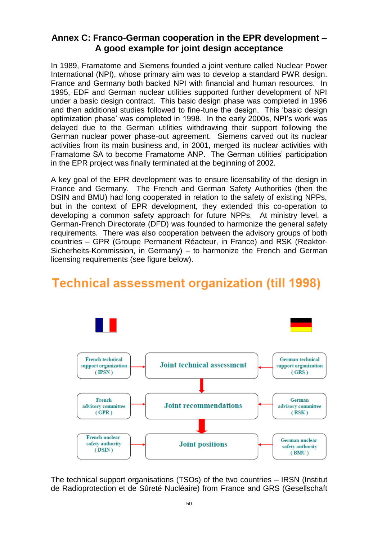# **Annex C: Franco-German cooperation in the EPR development – A good example for joint design acceptance**

In 1989, Framatome and Siemens founded a joint venture called Nuclear Power International (NPI), whose primary aim was to develop a standard PWR design. France and Germany both backed NPI with financial and human resources. In 1995, EDF and German nuclear utilities supported further development of NPI under a basic design contract. This basic design phase was completed in 1996 and then additional studies followed to fine-tune the design. This 'basic design optimization phase' was completed in 1998. In the early 2000s, NPI's work was delayed due to the German utilities withdrawing their support following the German nuclear power phase-out agreement. Siemens carved out its nuclear activities from its main business and, in 2001, merged its nuclear activities with Framatome SA to become Framatome ANP. The German utilities' participation in the EPR project was finally terminated at the beginning of 2002.

A key goal of the EPR development was to ensure licensability of the design in France and Germany. The French and German Safety Authorities (then the DSIN and BMU) had long cooperated in relation to the safety of existing NPPs, but in the context of EPR development, they extended this co-operation to developing a common safety approach for future NPPs. At ministry level, a German-French Directorate (DFD) was founded to harmonize the general safety requirements. There was also cooperation between the advisory groups of both countries – GPR (Groupe Permanent Réacteur, in France) and RSK (Reaktor-Sicherheits-Kommission, in Germany) – to harmonize the French and German licensing requirements (see figure below).

# **Technical assessment organization (till 1998)**



The technical support organisations (TSOs) of the two countries – IRSN (Institut de Radioprotection et de Sûreté Nucléaire) from France and GRS (Gesellschaft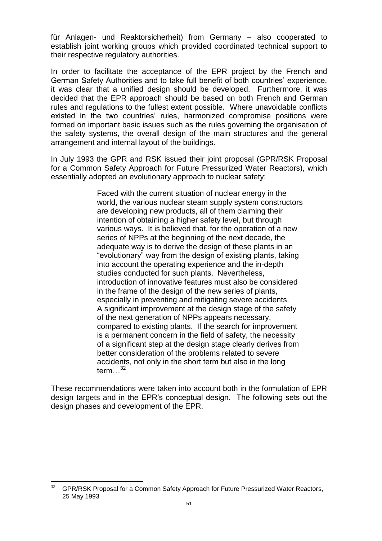für Anlagen- und Reaktorsicherheit) from Germany – also cooperated to establish joint working groups which provided coordinated technical support to their respective regulatory authorities.

In order to facilitate the acceptance of the EPR project by the French and German Safety Authorities and to take full benefit of both countries' experience, it was clear that a unified design should be developed. Furthermore, it was decided that the EPR approach should be based on both French and German rules and regulations to the fullest extent possible. Where unavoidable conflicts existed in the two countries' rules, harmonized compromise positions were formed on important basic issues such as the rules governing the organisation of the safety systems, the overall design of the main structures and the general arrangement and internal layout of the buildings.

In July 1993 the GPR and RSK issued their joint proposal (GPR/RSK Proposal for a Common Safety Approach for Future Pressurized Water Reactors), which essentially adopted an evolutionary approach to nuclear safety:

> Faced with the current situation of nuclear energy in the world, the various nuclear steam supply system constructors are developing new products, all of them claiming their intention of obtaining a higher safety level, but through various ways. It is believed that, for the operation of a new series of NPPs at the beginning of the next decade, the adequate way is to derive the design of these plants in an "evolutionary" way from the design of existing plants, taking into account the operating experience and the in-depth studies conducted for such plants. Nevertheless, introduction of innovative features must also be considered in the frame of the design of the new series of plants, especially in preventing and mitigating severe accidents. A significant improvement at the design stage of the safety of the next generation of NPPs appears necessary, compared to existing plants. If the search for improvement is a permanent concern in the field of safety, the necessity of a significant step at the design stage clearly derives from better consideration of the problems related to severe accidents, not only in the short term but also in the long term  $32$

These recommendations were taken into account both in the formulation of EPR design targets and in the EPR's conceptual design. The following sets out the design phases and development of the EPR.

 $\overline{a}$ GPR/RSK Proposal for a Common Safety Approach for Future Pressurized Water Reactors, 25 May 1993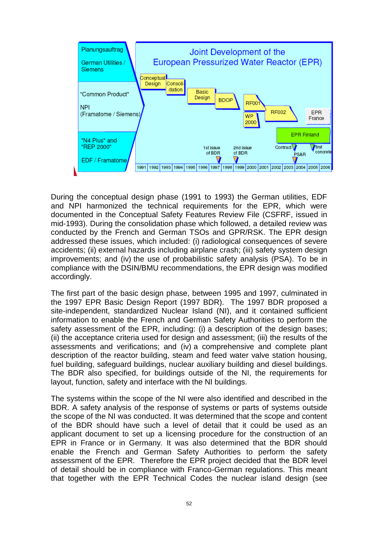

During the conceptual design phase (1991 to 1993) the German utilities, EDF and NPI harmonized the technical requirements for the EPR, which were documented in the Conceptual Safety Features Review File (CSFRF, issued in mid-1993). During the consolidation phase which followed, a detailed review was conducted by the French and German TSOs and GPR/RSK. The EPR design addressed these issues, which included: (i) radiological consequences of severe accidents; (ii) external hazards including airplane crash; (iii) safety system design improvements; and (iv) the use of probabilistic safety analysis (PSA). To be in compliance with the DSIN/BMU recommendations, the EPR design was modified accordingly.

The first part of the basic design phase, between 1995 and 1997, culminated in the 1997 EPR Basic Design Report (1997 BDR). The 1997 BDR proposed a site-independent, standardized Nuclear Island (NI), and it contained sufficient information to enable the French and German Safety Authorities to perform the safety assessment of the EPR, including: (i) a description of the design bases; (ii) the acceptance criteria used for design and assessment; (iii) the results of the assessments and verifications; and (iv) a comprehensive and complete plant description of the reactor building, steam and feed water valve station housing, fuel building, safeguard buildings, nuclear auxiliary building and diesel buildings. The BDR also specified, for buildings outside of the NI, the requirements for layout, function, safety and interface with the NI buildings.

The systems within the scope of the NI were also identified and described in the BDR. A safety analysis of the response of systems or parts of systems outside the scope of the NI was conducted. It was determined that the scope and content of the BDR should have such a level of detail that it could be used as an applicant document to set up a licensing procedure for the construction of an EPR in France or in Germany. It was also determined that the BDR should enable the French and German Safety Authorities to perform the safety assessment of the EPR. Therefore the EPR project decided that the BDR level of detail should be in compliance with Franco-German regulations. This meant that together with the EPR Technical Codes the nuclear island design (see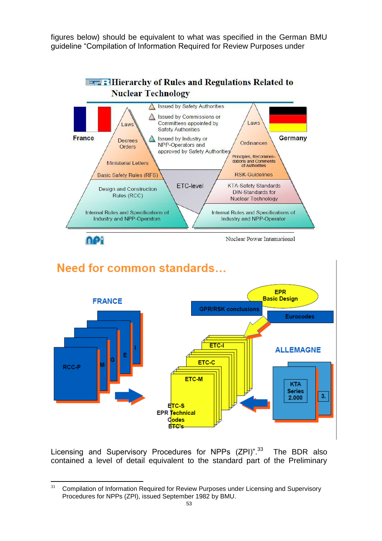figures below) should be equivalent to what was specified in the German BMU guideline "Compilation of Information Required for Review Purposes under



# Need for common standards...



Licensing and Supervisory Procedures for NPPs (ZPI)".<sup>33</sup> The BDR also contained a level of detail equivalent to the standard part of the Preliminary

<sup>33</sup> <sup>33</sup> Compilation of Information Required for Review Purposes under Licensing and Supervisory Procedures for NPPs (ZPI), issued September 1982 by BMU.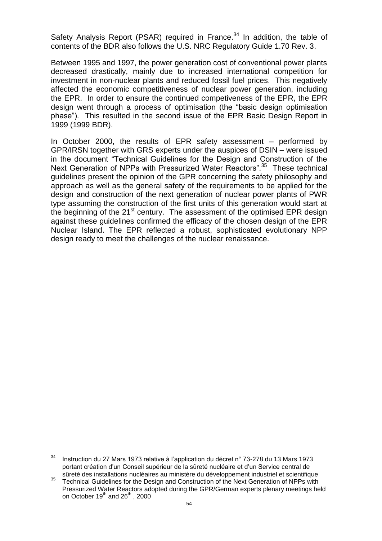Safety Analysis Report (PSAR) required in France.<sup>34</sup> In addition, the table of contents of the BDR also follows the U.S. NRC Regulatory Guide 1.70 Rev. 3.

Between 1995 and 1997, the power generation cost of conventional power plants decreased drastically, mainly due to increased international competition for investment in non-nuclear plants and reduced fossil fuel prices. This negatively affected the economic competitiveness of nuclear power generation, including the EPR. In order to ensure the continued competiveness of the EPR, the EPR design went through a process of optimisation (the "basic design optimisation phase"). This resulted in the second issue of the EPR Basic Design Report in 1999 (1999 BDR).

In October 2000, the results of EPR safety assessment – performed by GPR/IRSN together with GRS experts under the auspices of DSIN – were issued in the document "Technical Guidelines for the Design and Construction of the Next Generation of NPPs with Pressurized Water Reactors".<sup>35</sup> These technical guidelines present the opinion of the GPR concerning the safety philosophy and approach as well as the general safety of the requirements to be applied for the design and construction of the next generation of nuclear power plants of PWR type assuming the construction of the first units of this generation would start at the beginning of the  $21^{st}$  century. The assessment of the optimised EPR design against these guidelines confirmed the efficacy of the chosen design of the EPR Nuclear Island. The EPR reflected a robust, sophisticated evolutionary NPP design ready to meet the challenges of the nuclear renaissance.

<sup>34</sup> <sup>34</sup> Instruction du 27 Mars 1973 relative à l'application du décret n° 73-278 du 13 Mars 1973 portant création d'un Conseil supérieur de la sûreté nucléaire et d'un Service central de sûreté des installations nucléaires au ministère du développement industriel et scientifique

<sup>35</sup> Technical Guidelines for the Design and Construction of the Next Generation of NPPs with Pressurized Water Reactors adopted during the GPR/German experts plenary meetings held on October  $19^{th}$  and  $26^{th}$ , 2000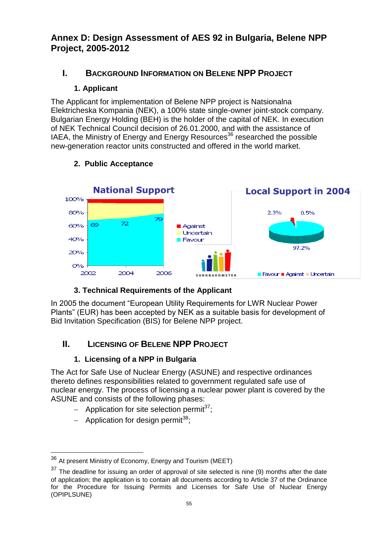# **Annex D: Design Assessment of AES 92 in Bulgaria, Belene NPP Project, 2005-2012**

# **I. BACKGROUND INFORMATION ON BELENE NPP PROJECT**

# **1. Applicant**

The Applicant for implementation of Belene NPP project is Natsionalna Elektricheska Kompania (NEK), a 100% state single-owner joint-stock company. Bulgarian Energy Holding (BEH) is the holder of the capital of NEK. In execution of NEK Technical Council decision of 26.01.2000, and with the assistance of IAEA, the Ministry of Energy and Energy Resources<sup>36</sup> researched the possible new-generation reactor units constructed and offered in the world market.



# **2. Public Acceptance**

# **3. Technical Requirements of the Applicant**

In 2005 the document "European Utility Requirements for LWR Nuclear Power Plants" (EUR) has been accepted by NEK as a suitable basis for development of Bid Invitation Specification (BIS) for Belene NPP project.

# **II. LICENSING OF BELENE NPP PROJECT**

# **1. Licensing of a NPP in Bulgaria**

The Act for Safe Use of Nuclear Energy (ASUNE) and respective ordinances thereto defines responsibilities related to government regulated safe use of nuclear energy. The process of licensing a nuclear power plant is covered by the ASUNE and consists of the following phases:

- Application for site selection permit<sup>37</sup>:
- Application for design permit<sup>38</sup>;

 $\overline{a}$ 

 $36$  At present Ministry of Economy, Energy and Tourism (MEET)

 $37$  The deadline for issuing an order of approval of site selected is nine (9) months after the date of application; the application is to contain all documents according to Article 37 of the Ordinance for the Procedure for Issuing Permits and Licenses for Safe Use of Nuclear Energy (OPIPLSUNE)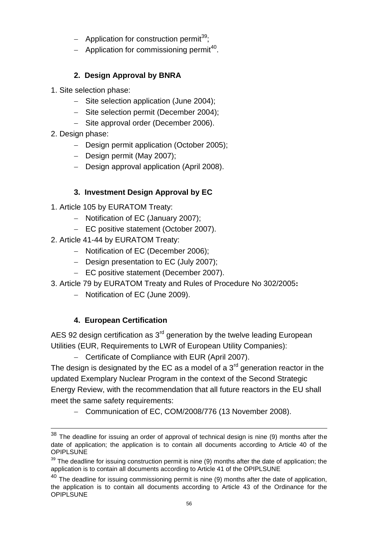- Application for construction permit<sup>39</sup>;
- Application for commissioning permit<sup>40</sup>.

# **2. Design Approval by BNRA**

- 1. Site selection phase:
	- Site selection application (June 2004);
	- Site selection permit (December 2004);
	- Site approval order (December 2006).
- 2. Design phase:

1

- Design permit application (October 2005);
- Design permit (May 2007);
- Design approval application (April 2008).

# **3. Investment Design Approval by EC**

- 1. Article 105 by EURATOM Treaty:
	- Notification of EC (January 2007):
	- EC positive statement (October 2007).
- 2. Article 41-44 by EURATOM Treaty:
	- Notification of EC (December 2006):
	- Design presentation to EC (July 2007);
	- EC positive statement (December 2007).
- 3. Article 79 by EURATOM Treaty and Rules of Procedure No 302/2005**:** 
	- Notification of EC (June 2009).

# **4. European Certification**

AES 92 design certification as  $3<sup>rd</sup>$  generation by the twelve leading European Utilities (EUR, Requirements to LWR of European Utility Companies):

- Certificate of Compliance with EUR (April 2007).

The design is designated by the EC as a model of a  $3<sup>rd</sup>$  generation reactor in the updated Exemplary Nuclear Program in the context of the Second Strategic Energy Review, with the recommendation that all future reactors in the EU shall meet the same safety requirements:

- Communication of EC, COM/2008/776 (13 November 2008).

 $38$  The deadline for issuing an order of approval of technical design is nine (9) months after the date of application; the application is to contain all documents according to Article 40 of the **OPIPLSUNE** 

 $39$  The deadline for issuing construction permit is nine (9) months after the date of application; the application is to contain all documents according to Article 41 of the OPIPLSUNE

 $40$  The deadline for issuing commissioning permit is nine (9) months after the date of application, the application is to contain all documents according to Article 43 of the Ordinance for the **OPIPLSUNE**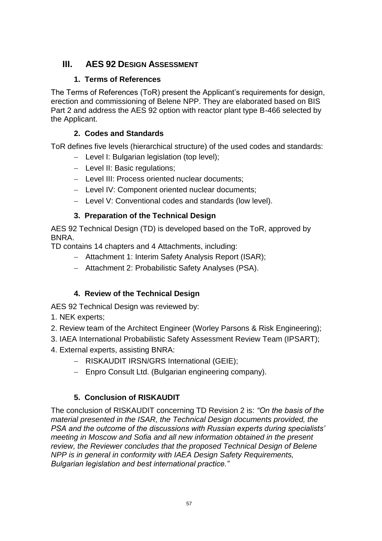# **III. AES 92 DESIGN ASSESSMENT**

## **1. Terms of References**

The Terms of References (ToR) present the Applicant's requirements for design, erection and commissioning of Belene NPP. They are elaborated based on BIS Part 2 and address the AES 92 option with reactor plant type B-466 selected by the Applicant.

## **2. Codes and Standards**

ToR defines five levels (hierarchical structure) of the used codes and standards:

- Level I: Bulgarian legislation (top level);
- Level II: Basic regulations:
- Level III: Process oriented nuclear documents;
- Level IV: Component oriented nuclear documents;
- Level V: Conventional codes and standards (low level).

## **3. Preparation of the Technical Design**

AES 92 Technical Design (TD) is developed based on the ToR, approved by BNRA.

TD contains 14 chapters and 4 Attachments, including:

- Attachment 1: Interim Safety Analysis Report (ISAR);
- Attachment 2: Probabilistic Safety Analyses (PSA).

## **4. Review of the Technical Design**

AES 92 Technical Design was reviewed by:

- 1. NEK experts;
- 2. Review team of the Architect Engineer (Worley Parsons & Risk Engineering);
- 3. IAEA International Probabilistic Safety Assessment Review Team (IPSART);
- 4. External experts, assisting BNRA:
	- RISKAUDIT IRSN/GRS International (GEIE);
	- Enpro Consult Ltd. (Bulgarian engineering company).

## **5. Conclusion of RISKAUDIT**

The conclusion of RISKAUDIT concerning TD Revision 2 is: *"On the basis of the material presented in the ISAR, the Technical Design documents provided, the PSA and the outcome of the discussions with Russian experts during specialists' meeting in Moscow and Sofia and all new information obtained in the present review, the Reviewer concludes that the proposed Technical Design of Belene NPP is in general in conformity with IAEA Design Safety Requirements, Bulgarian legislation and best international practice."*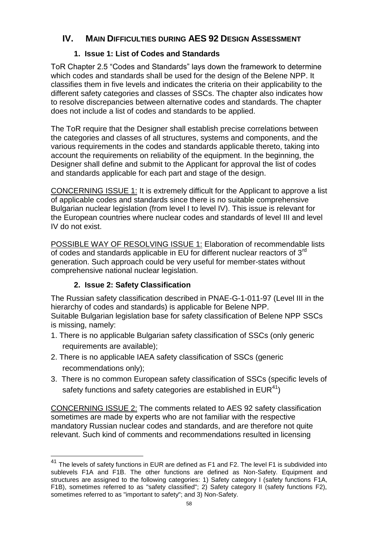# **IV. MAIN DIFFICULTIES DURING AES 92 DESIGN ASSESSMENT**

## **1. Issue 1: List of Codes and Standards**

ToR Chapter 2.5 "Codes and Standards" lays down the framework to determine which codes and standards shall be used for the design of the Belene NPP. It classifies them in five levels and indicates the criteria on their applicability to the different safety categories and classes of SSCs. The chapter also indicates how to resolve discrepancies between alternative codes and standards. The chapter does not include a list of codes and standards to be applied.

The ToR require that the Designer shall establish precise correlations between the categories and classes of all structures, systems and components, and the various requirements in the codes and standards applicable thereto, taking into account the requirements on reliability of the equipment. In the beginning, the Designer shall define and submit to the Applicant for approval the list of codes and standards applicable for each part and stage of the design.

CONCERNING ISSUE 1: It is extremely difficult for the Applicant to approve a list of applicable codes and standards since there is no suitable comprehensive Bulgarian nuclear legislation (from level I to level IV). This issue is relevant for the European countries where nuclear codes and standards of level III and level IV do not exist.

POSSIBLE WAY OF RESOLVING ISSUE 1: Elaboration of recommendable lists of codes and standards applicable in EU for different nuclear reactors of 3rd generation. Such approach could be very useful for member-states without comprehensive national nuclear legislation.

## **2. Issue 2: Safety Classification**

 $\overline{a}$ 

The Russian safety classification described in PNAE-G-1-011-97 (Level III in the hierarchy of codes and standards) is applicable for Belene NPP. Suitable Bulgarian legislation base for safety classification of Belene NPP SSCs is missing, namely:

- 1. There is no applicable Bulgarian safety classification of SSCs (only generic requirements are available);
- 2. There is no applicable IAEA safety classification of SSCs (generic recommendations only);
- 3. There is no common European safety classification of SSCs (specific levels of safety functions and safety categories are established in  $EUR^{41}$ )

CONCERNING ISSUE 2: The comments related to AES 92 safety classification sometimes are made by experts who are not familiar with the respective mandatory Russian nuclear codes and standards, and are therefore not quite relevant. Such kind of comments and recommendations resulted in licensing

 $^{41}$  The levels of safety functions in EUR are defined as F1 and F2. The level F1 is subdivided into sublevels F1A and F1B. The other functions are defined as Non-Safety. Equipment and structures are assigned to the following categories: 1) Safety category I (safety functions F1A, F1B), sometimes referred to as "safety classified"; 2) Safety category II (safety functions F2), sometimes referred to as "important to safety"; and 3) Non-Safety.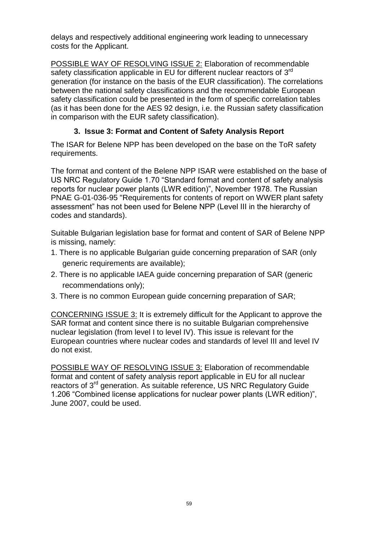delays and respectively additional engineering work leading to unnecessary costs for the Applicant.

POSSIBLE WAY OF RESOLVING ISSUE 2: Elaboration of recommendable safety classification applicable in EU for different nuclear reactors of  $3<sup>rd</sup>$ generation (for instance on the basis of the EUR classification). The correlations between the national safety classifications and the recommendable European safety classification could be presented in the form of specific correlation tables (as it has been done for the AES 92 design, i.e. the Russian safety classification in comparison with the EUR safety classification).

## **3. Issue 3: Format and Content of Safety Analysis Report**

The ISAR for Belene NPP has been developed on the base on the ToR safety requirements.

The format and content of the Belene NPP ISAR were established on the base of US NRC Regulatory Guide 1.70 "Standard format and content of safety analysis reports for nuclear power plants (LWR edition)", November 1978. The Russian PNAE G-01-036-95 "Requirements for contents of report on WWER plant safety assessment" has not been used for Belene NPP (Level III in the hierarchy of codes and standards).

Suitable Bulgarian legislation base for format and content of SAR of Belene NPP is missing, namely:

- 1. There is no applicable Bulgarian guide concerning preparation of SAR (only generic requirements are available);
- 2. There is no applicable IAEA guide concerning preparation of SAR (generic recommendations only);
- 3. There is no common European guide concerning preparation of SAR;

CONCERNING ISSUE 3: It is extremely difficult for the Applicant to approve the SAR format and content since there is no suitable Bulgarian comprehensive nuclear legislation (from level I to level IV). This issue is relevant for the European countries where nuclear codes and standards of level III and level IV do not exist.

POSSIBLE WAY OF RESOLVING ISSUE 3: Elaboration of recommendable format and content of safety analysis report applicable in EU for all nuclear reactors of 3<sup>rd</sup> generation. As suitable reference, US NRC Regulatory Guide 1.206 "Combined license applications for nuclear power plants (LWR edition)", June 2007, could be used.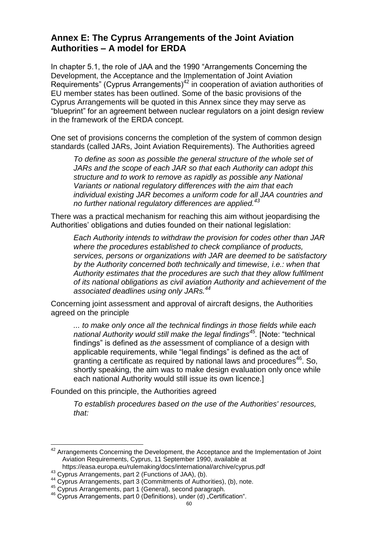# **Annex E: The Cyprus Arrangements of the Joint Aviation Authorities – A model for ERDA**

In chapter 5.1, the role of JAA and the 1990 "Arrangements Concerning the Development, the Acceptance and the Implementation of Joint Aviation Requirements" (Cyprus Arrangements)<sup>42</sup> in cooperation of aviation authorities of EU member states has been outlined. Some of the basic provisions of the Cyprus Arrangements will be quoted in this Annex since they may serve as "blueprint" for an agreement between nuclear regulators on a joint design review in the framework of the ERDA concept.

One set of provisions concerns the completion of the system of common design standards (called JARs, Joint Aviation Requirements). The Authorities agreed

*To define as soon as possible the general structure of the whole set of JARs and the scope of each JAR so that each Authority can adopt this structure and to work to remove as rapidly as possible any National Variants or national regulatory differences with the aim that each individual existing JAR becomes a uniform code for all JAA countries and no further national regulatory differences are applied.<sup>43</sup>*

There was a practical mechanism for reaching this aim without jeopardising the Authorities' obligations and duties founded on their national legislation:

*Each Authority intends to withdraw the provision for codes other than JAR where the procedures established to check compliance of products, services, persons or organizations with JAR are deemed to be satisfactory by the Authority concerned both technically and timewise, i.e.: when that Authority estimates that the procedures are such that they allow fulfilment of its national obligations as civil aviation Authority and achievement of the associated deadlines using only JARs.<sup>44</sup>*

Concerning joint assessment and approval of aircraft designs, the Authorities agreed on the principle

*... to make only once all the technical findings in those fields while each national Authority would still make the legal findings<sup>45</sup> .* [Note: "technical findings" is defined as *the* assessment of compliance of a design with applicable requirements, while "legal findings" is defined as the act of granting a certificate as required by national laws and procedures $46$ . So, shortly speaking, the aim was to make design evaluation only once while each national Authority would still issue its own licence.]

Founded on this principle, the Authorities agreed

*To establish procedures based on the use of the Authorities' resources, that:*

https://easa.europa.eu/rulemaking/docs/international/archive/cyprus.pdf

 $\overline{a}$ 

 $42$  Arrangements Concerning the Development, the Acceptance and the Implementation of Joint Aviation Requirements, Cyprus, 11 September 1990, available at

<sup>43</sup> Cyprus Arrangements, part 2 (Functions of JAA), (b).

<sup>44</sup> Cyprus Arrangements, part 3 (Commitments of Authorities), (b), note.

<sup>45</sup> Cyprus Arrangements, part 1 (General), second paragraph.

<sup>&</sup>lt;sup>46</sup> Cyprus Arrangements, part 0 (Definitions), under (d) "Certification".